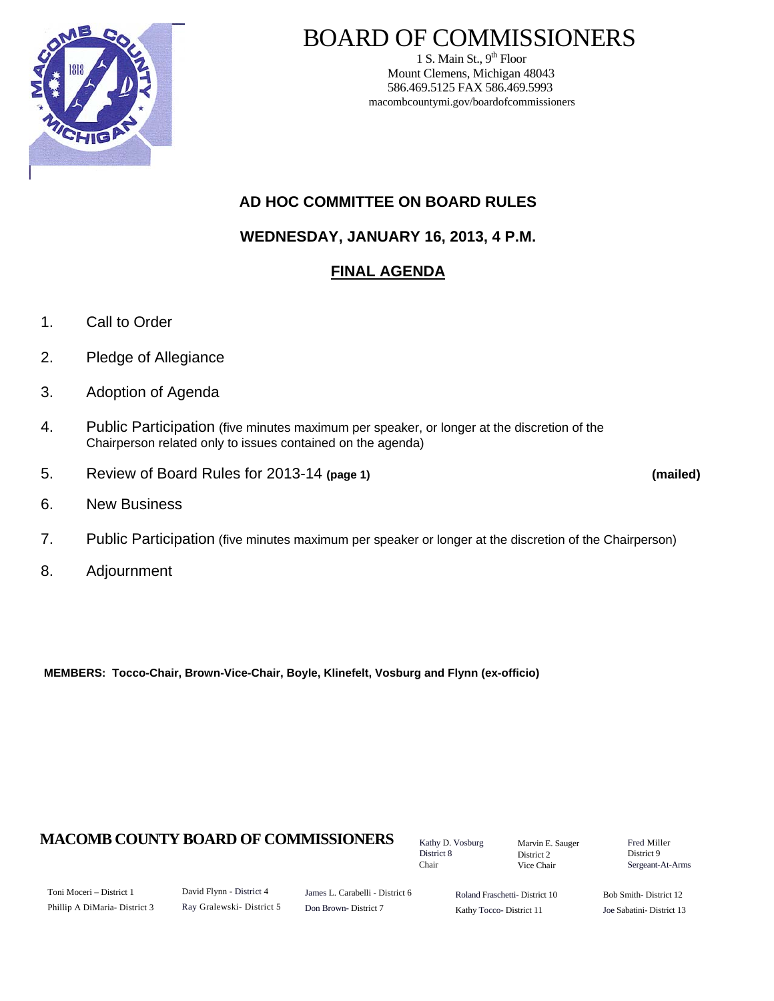

# BOARD OF COMMISSIONERS

1 S. Main St.,  $9<sup>th</sup>$  Floor Mount Clemens, Michigan 48043 586.469.5125 FAX 586.469.5993 macombcountymi.gov/boardofcommissioners

# **AD HOC COMMITTEE ON BOARD RULES**

# **WEDNESDAY, JANUARY 16, 2013, 4 P.M.**

# **FINAL AGENDA**

- 1. Call to Order
- 2. Pledge of Allegiance
- 3. Adoption of Agenda
- 4. Public Participation (five minutes maximum per speaker, or longer at the discretion of the Chairperson related only to issues contained on the agenda)
- 5. Review of Board Rules for 2013-14 **(page 1) (mailed)**
	-

- 6. New Business
- 7. Public Participation (five minutes maximum per speaker or longer at the discretion of the Chairperson)
- 8. Adjournment

 **MEMBERS: Tocco-Chair, Brown-Vice-Chair, Boyle, Klinefelt, Vosburg and Flynn (ex-officio)** 

# **MACOMB COUNTY BOARD OF COMMISSIONERS**

Kathy D. Vosburg District 8 Chair

Marvin E. Sauger District 2 Vice Chair

Fred Miller District 9 Sergeant-At-Arms

Toni Moceri – District 1 Phillip A DiMaria- District 3 David Flynn - District 4 Ray Gralewski- District 5

James L. Carabelli - District 6 Don Brown- District 7

Roland Fraschetti- District 10 Kathy Tocco- District 11

Bob Smith- District 12 Joe Sabatini- District 13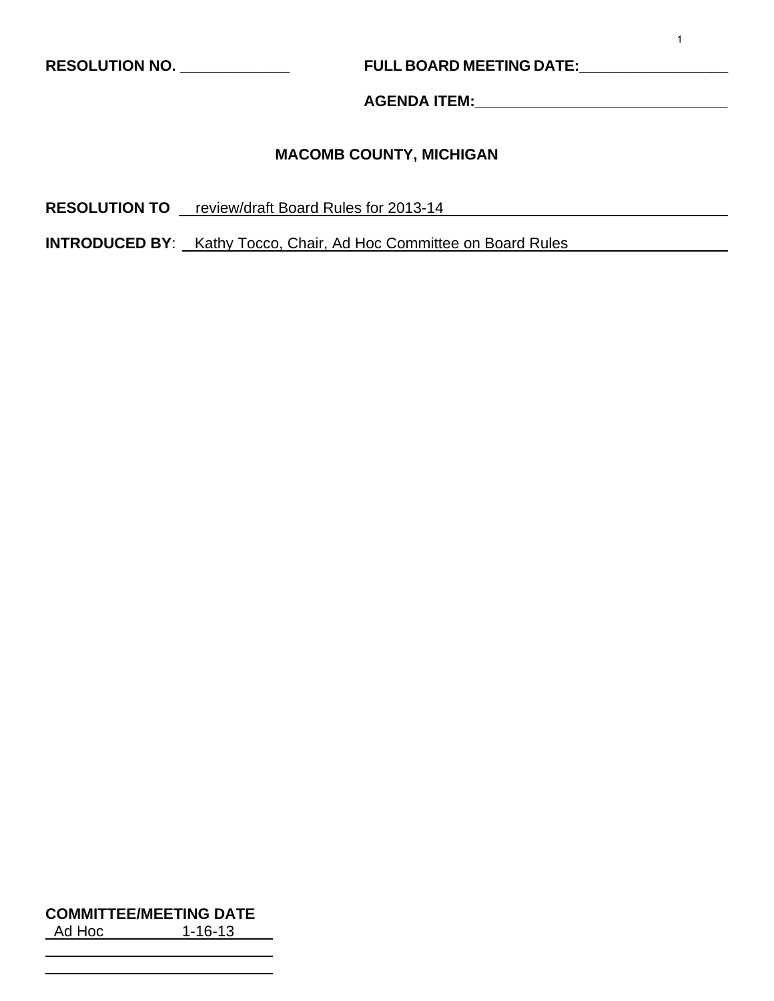**RESOLUTION NO. \_\_\_\_\_\_\_\_\_\_\_\_\_ FULL BOARD MEETING DATE:\_\_\_\_\_\_\_\_\_\_\_\_\_\_\_\_\_\_** 

**AGENDA ITEM:\_\_\_\_\_\_\_\_\_\_\_\_\_\_\_\_\_\_\_\_\_\_\_\_\_\_\_\_\_\_** 

# **MACOMB COUNTY, MICHIGAN**

RESOLUTION TO review/draft Board Rules for 2013-14

**INTRODUCED BY**: Kathy Tocco, Chair, Ad Hoc Committee on Board Rules

|        | <b>COMMITTEE/MEETING DATE</b> |
|--------|-------------------------------|
| Ad Hoc | 1-16-13                       |

 $\overline{a}$  $\overline{a}$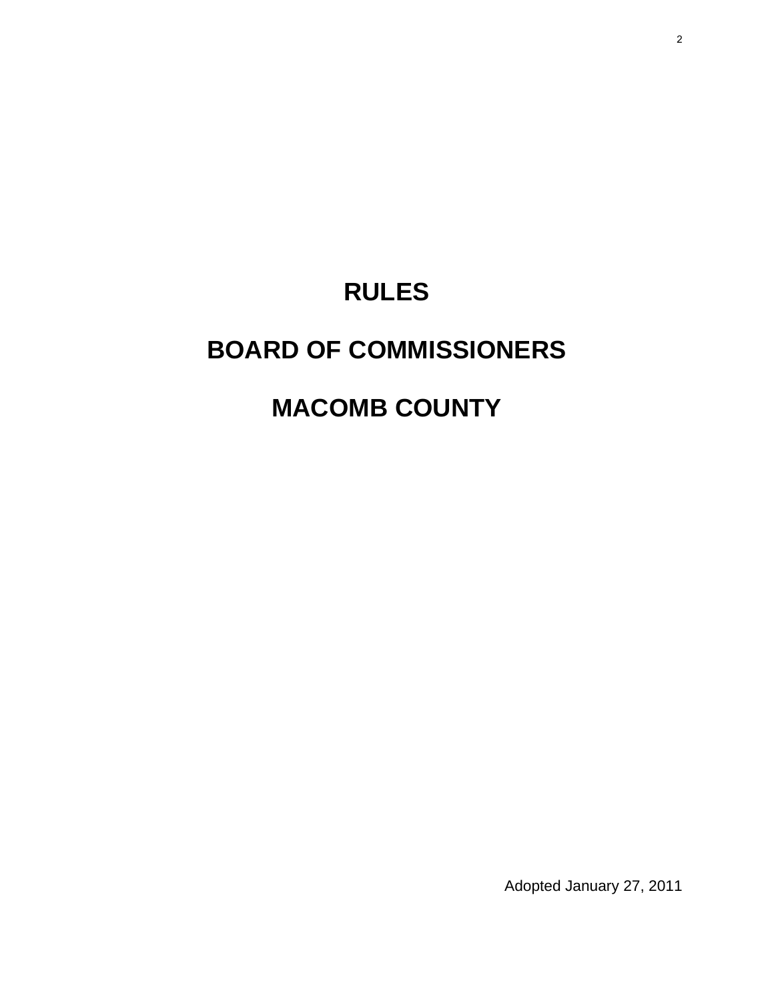# **RULES**

# **BOARD OF COMMISSIONERS**

# **MACOMB COUNTY**

Adopted January 27, 2011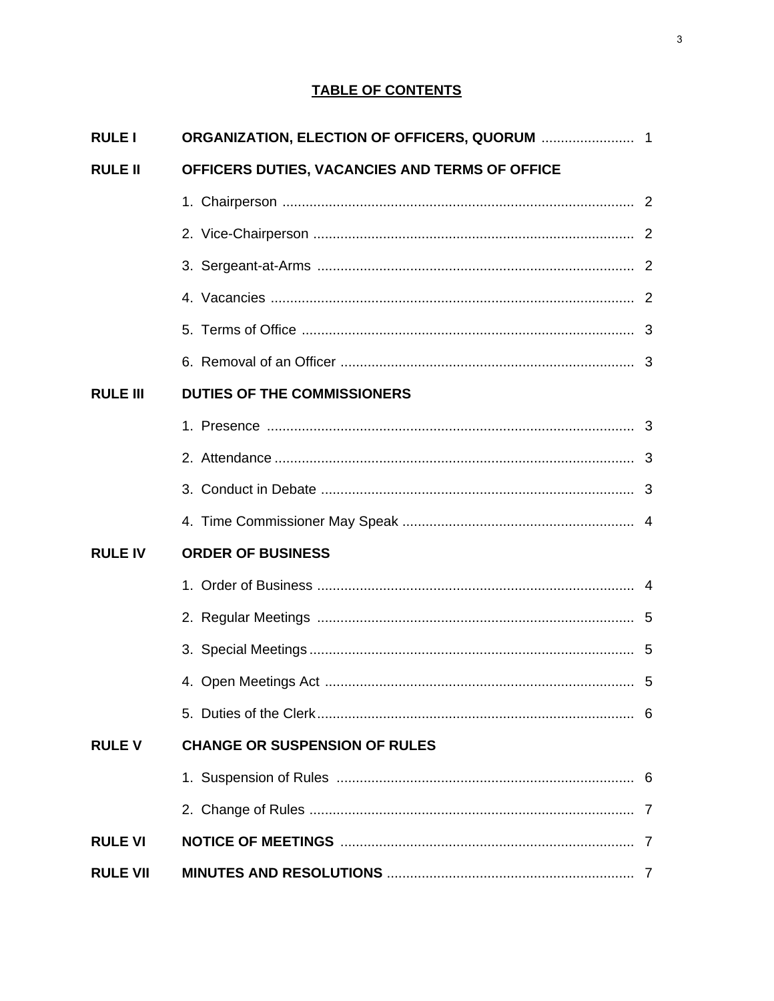# **TABLE OF CONTENTS**

| <b>RULE I</b>   |                                                |  |
|-----------------|------------------------------------------------|--|
| <b>RULE II</b>  | OFFICERS DUTIES, VACANCIES AND TERMS OF OFFICE |  |
|                 |                                                |  |
|                 |                                                |  |
|                 |                                                |  |
|                 |                                                |  |
|                 |                                                |  |
|                 |                                                |  |
| <b>RULE III</b> | <b>DUTIES OF THE COMMISSIONERS</b>             |  |
|                 |                                                |  |
|                 |                                                |  |
|                 |                                                |  |
|                 |                                                |  |
| <b>RULE IV</b>  | <b>ORDER OF BUSINESS</b>                       |  |
|                 |                                                |  |
|                 |                                                |  |
|                 |                                                |  |
|                 |                                                |  |
|                 |                                                |  |
| <b>RULE V</b>   | <b>CHANGE OR SUSPENSION OF RULES</b>           |  |
|                 |                                                |  |
|                 |                                                |  |
| <b>RULE VI</b>  |                                                |  |
| <b>RULE VII</b> |                                                |  |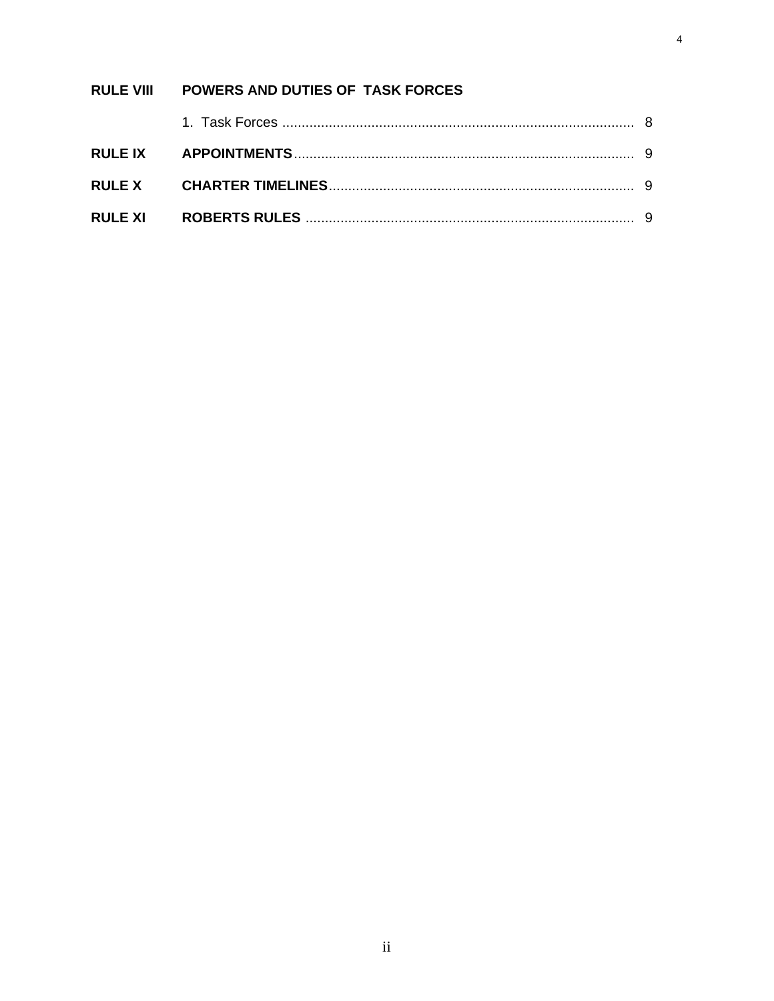| RULE VIII POWERS AND DUTIES OF TASK FORCES |  |
|--------------------------------------------|--|
|                                            |  |
|                                            |  |
|                                            |  |
|                                            |  |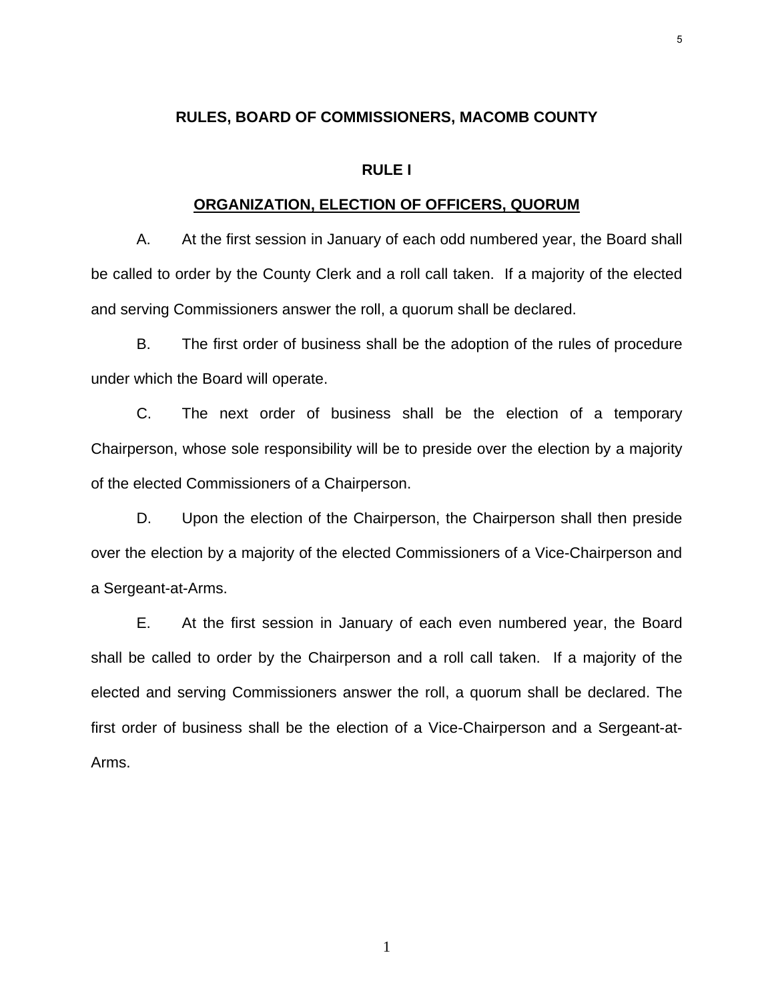#### **RULES, BOARD OF COMMISSIONERS, MACOMB COUNTY**

5

## **RULE I**

#### **ORGANIZATION, ELECTION OF OFFICERS, QUORUM**

 A. At the first session in January of each odd numbered year, the Board shall be called to order by the County Clerk and a roll call taken. If a majority of the elected and serving Commissioners answer the roll, a quorum shall be declared.

 B. The first order of business shall be the adoption of the rules of procedure under which the Board will operate.

 C. The next order of business shall be the election of a temporary Chairperson, whose sole responsibility will be to preside over the election by a majority of the elected Commissioners of a Chairperson.

D. Upon the election of the Chairperson, the Chairperson shall then preside over the election by a majority of the elected Commissioners of a Vice-Chairperson and a Sergeant-at-Arms.

E. At the first session in January of each even numbered year, the Board shall be called to order by the Chairperson and a roll call taken. If a majority of the elected and serving Commissioners answer the roll, a quorum shall be declared. The first order of business shall be the election of a Vice-Chairperson and a Sergeant-at-Arms.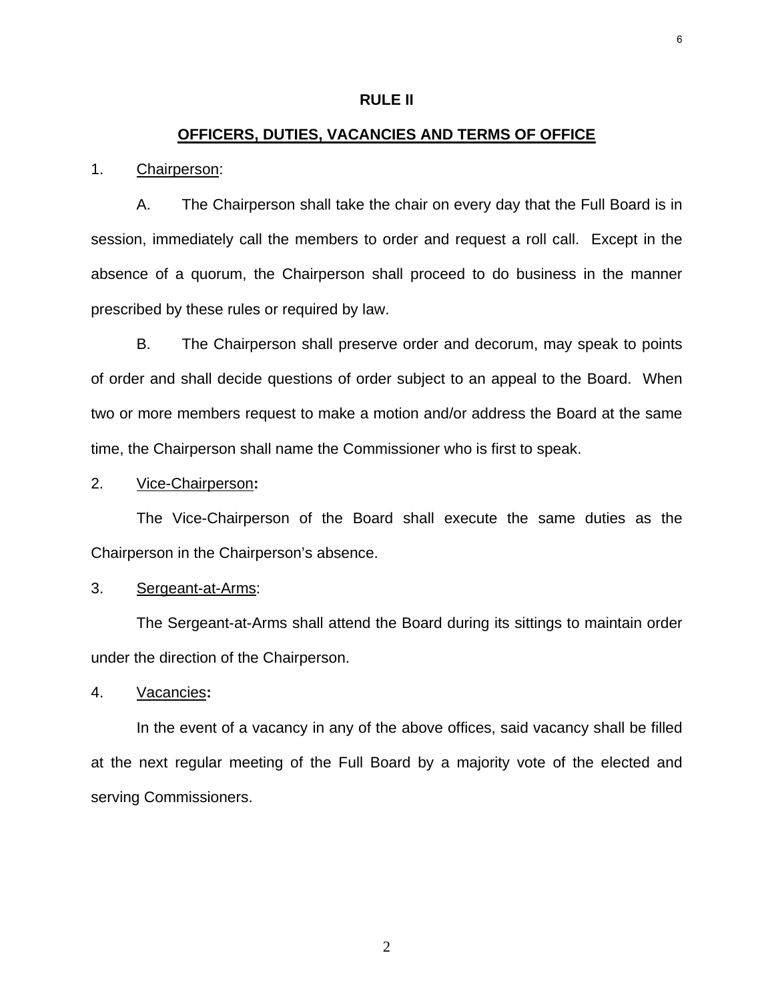#### **RULE II**

## **OFFICERS, DUTIES, VACANCIES AND TERMS OF OFFICE**

## 1. Chairperson:

 A. The Chairperson shall take the chair on every day that the Full Board is in session, immediately call the members to order and request a roll call. Except in the absence of a quorum, the Chairperson shall proceed to do business in the manner prescribed by these rules or required by law.

 B. The Chairperson shall preserve order and decorum, may speak to points of order and shall decide questions of order subject to an appeal to the Board. When two or more members request to make a motion and/or address the Board at the same time, the Chairperson shall name the Commissioner who is first to speak.

## 2. Vice-Chairperson**:**

The Vice-Chairperson of the Board shall execute the same duties as the Chairperson in the Chairperson's absence.

#### 3. Sergeant-at-Arms:

The Sergeant-at-Arms shall attend the Board during its sittings to maintain order under the direction of the Chairperson.

#### 4. Vacancies**:**

In the event of a vacancy in any of the above offices, said vacancy shall be filled at the next regular meeting of the Full Board by a majority vote of the elected and serving Commissioners.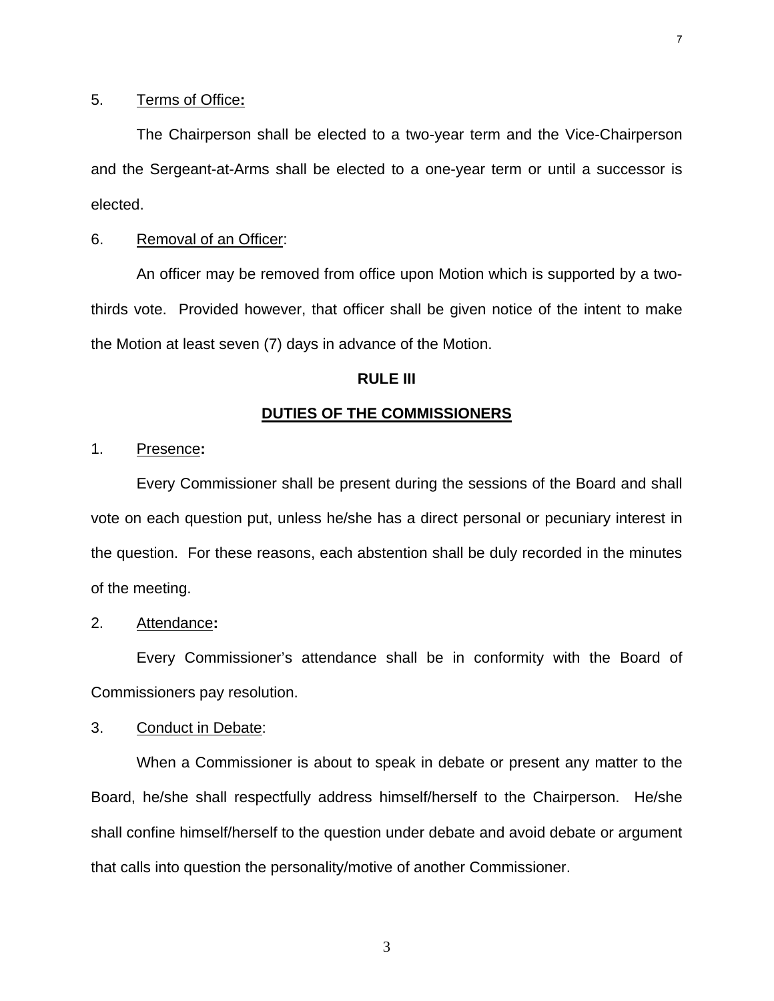## 5. Terms of Office**:**

The Chairperson shall be elected to a two-year term and the Vice-Chairperson and the Sergeant-at-Arms shall be elected to a one-year term or until a successor is elected.

## 6. Removal of an Officer:

An officer may be removed from office upon Motion which is supported by a twothirds vote. Provided however, that officer shall be given notice of the intent to make the Motion at least seven (7) days in advance of the Motion.

## **RULE III**

#### **DUTIES OF THE COMMISSIONERS**

#### 1. Presence**:**

Every Commissioner shall be present during the sessions of the Board and shall vote on each question put, unless he/she has a direct personal or pecuniary interest in the question. For these reasons, each abstention shall be duly recorded in the minutes of the meeting.

## 2.Attendance**:**

Every Commissioner's attendance shall be in conformity with the Board of Commissioners pay resolution.

#### 3. Conduct in Debate:

When a Commissioner is about to speak in debate or present any matter to the Board, he/she shall respectfully address himself/herself to the Chairperson. He/she shall confine himself/herself to the question under debate and avoid debate or argument that calls into question the personality/motive of another Commissioner.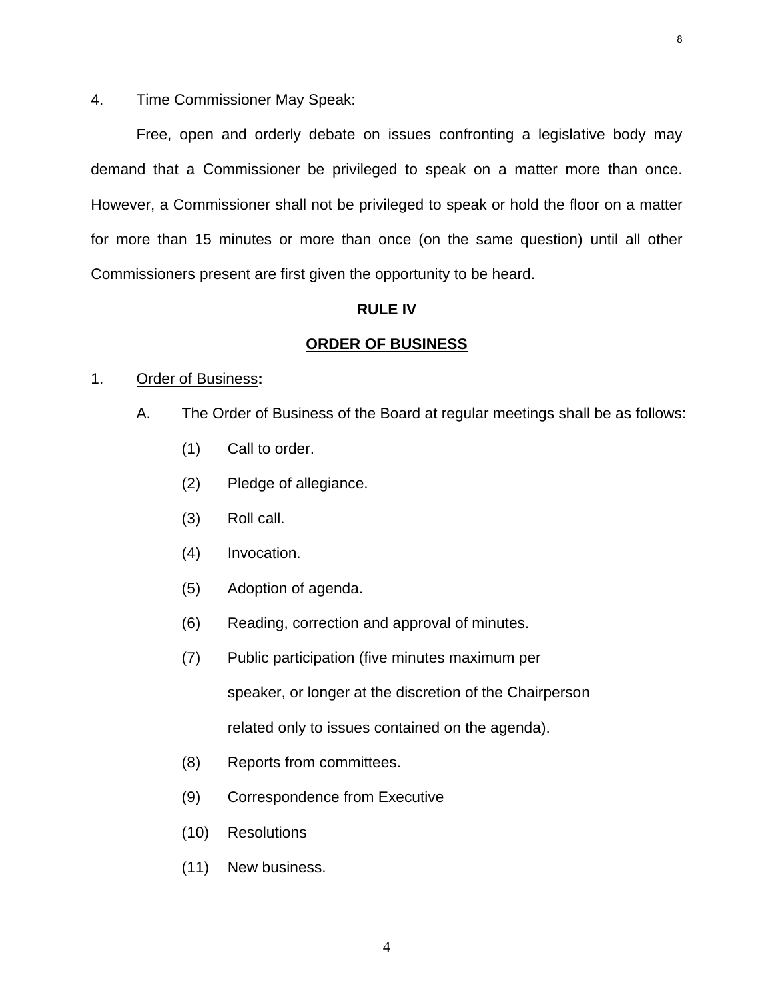## 4. Time Commissioner May Speak:

Free, open and orderly debate on issues confronting a legislative body may demand that a Commissioner be privileged to speak on a matter more than once. However, a Commissioner shall not be privileged to speak or hold the floor on a matter for more than 15 minutes or more than once (on the same question) until all other Commissioners present are first given the opportunity to be heard.

## **RULE IV**

#### **ORDER OF BUSINESS**

## 1. Order of Business**:**

- A. The Order of Business of the Board at regular meetings shall be as follows:
	- (1) Call to order.
	- (2) Pledge of allegiance.
	- (3) Roll call.
	- (4) Invocation.
	- (5) Adoption of agenda.
	- (6) Reading, correction and approval of minutes.
	- (7) Public participation (five minutes maximum per speaker, or longer at the discretion of the Chairperson related only to issues contained on the agenda).
	- (8) Reports from committees.
	- (9) Correspondence from Executive
	- (10) Resolutions
	- (11) New business.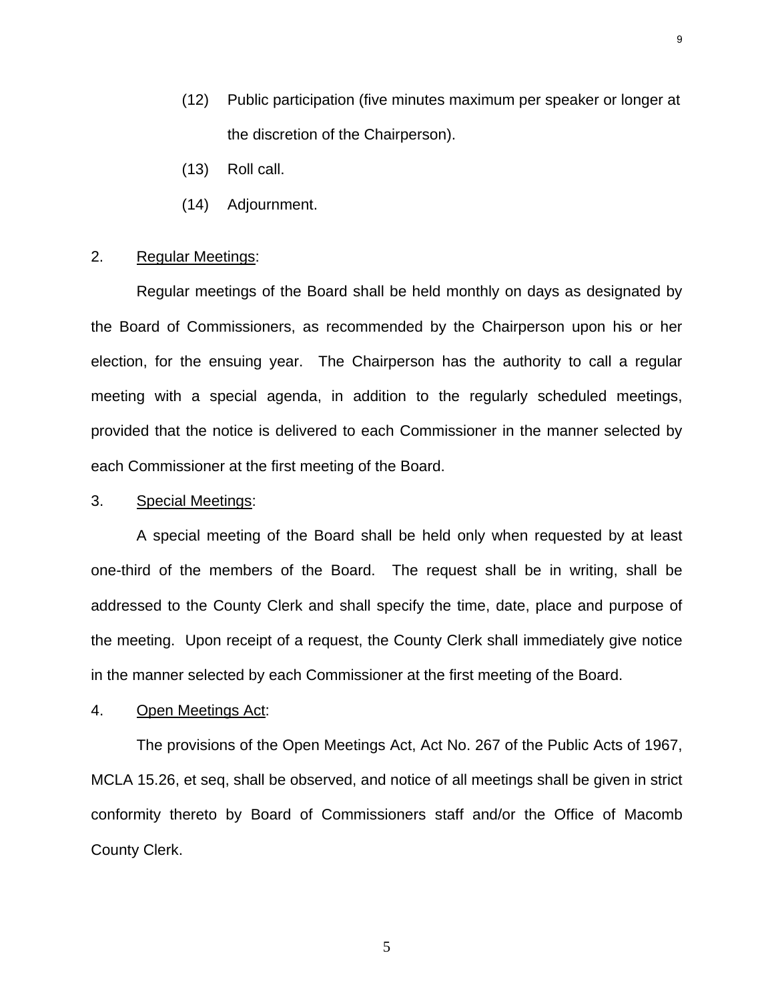- (12) Public participation (five minutes maximum per speaker or longer at the discretion of the Chairperson).
- (13) Roll call.
- (14) Adjournment.

#### 2. Regular Meetings:

Regular meetings of the Board shall be held monthly on days as designated by the Board of Commissioners, as recommended by the Chairperson upon his or her election, for the ensuing year. The Chairperson has the authority to call a regular meeting with a special agenda, in addition to the regularly scheduled meetings, provided that the notice is delivered to each Commissioner in the manner selected by each Commissioner at the first meeting of the Board.

## 3. Special Meetings:

A special meeting of the Board shall be held only when requested by at least one-third of the members of the Board. The request shall be in writing, shall be addressed to the County Clerk and shall specify the time, date, place and purpose of the meeting. Upon receipt of a request, the County Clerk shall immediately give notice in the manner selected by each Commissioner at the first meeting of the Board.

## 4. Open Meetings Act:

The provisions of the Open Meetings Act, Act No. 267 of the Public Acts of 1967, MCLA 15.26, et seq, shall be observed, and notice of all meetings shall be given in strict conformity thereto by Board of Commissioners staff and/or the Office of Macomb County Clerk.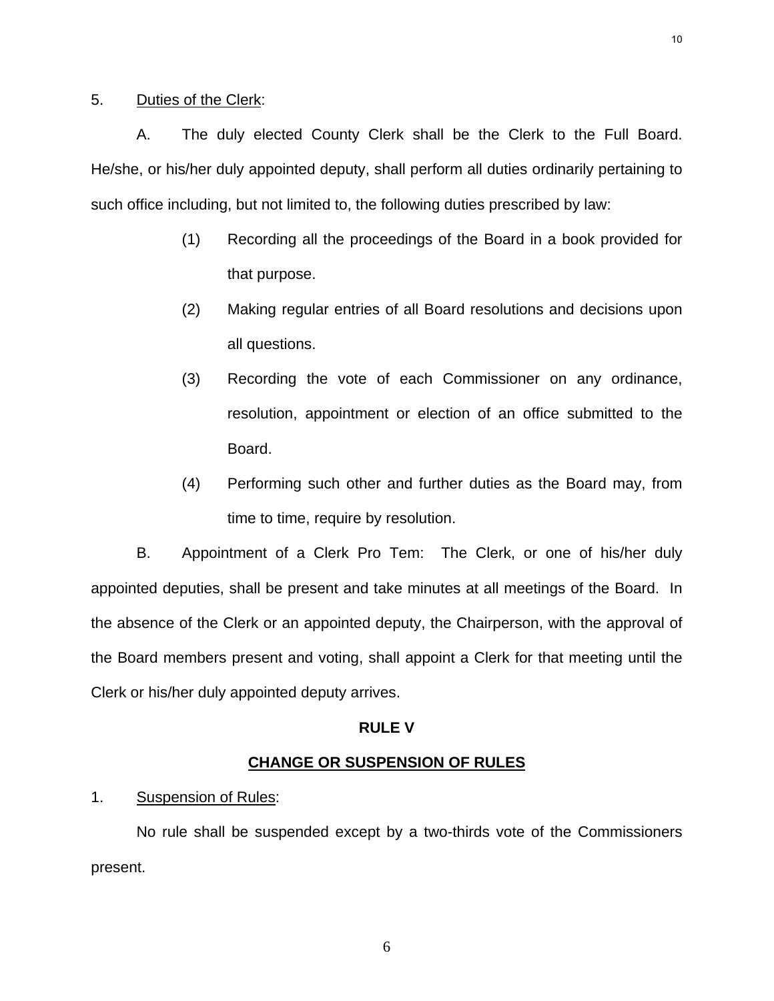## 5. Duties of the Clerk:

 A. The duly elected County Clerk shall be the Clerk to the Full Board. He/she, or his/her duly appointed deputy, shall perform all duties ordinarily pertaining to such office including, but not limited to, the following duties prescribed by law:

- (1) Recording all the proceedings of the Board in a book provided for that purpose.
- (2) Making regular entries of all Board resolutions and decisions upon all questions.
- (3) Recording the vote of each Commissioner on any ordinance, resolution, appointment or election of an office submitted to the Board.
- (4) Performing such other and further duties as the Board may, from time to time, require by resolution.

 B. Appointment of a Clerk Pro Tem: The Clerk, or one of his/her duly appointed deputies, shall be present and take minutes at all meetings of the Board. In the absence of the Clerk or an appointed deputy, the Chairperson, with the approval of the Board members present and voting, shall appoint a Clerk for that meeting until the Clerk or his/her duly appointed deputy arrives.

### **RULE V**

### **CHANGE OR SUSPENSION OF RULES**

### 1. Suspension of Rules:

No rule shall be suspended except by a two-thirds vote of the Commissioners present.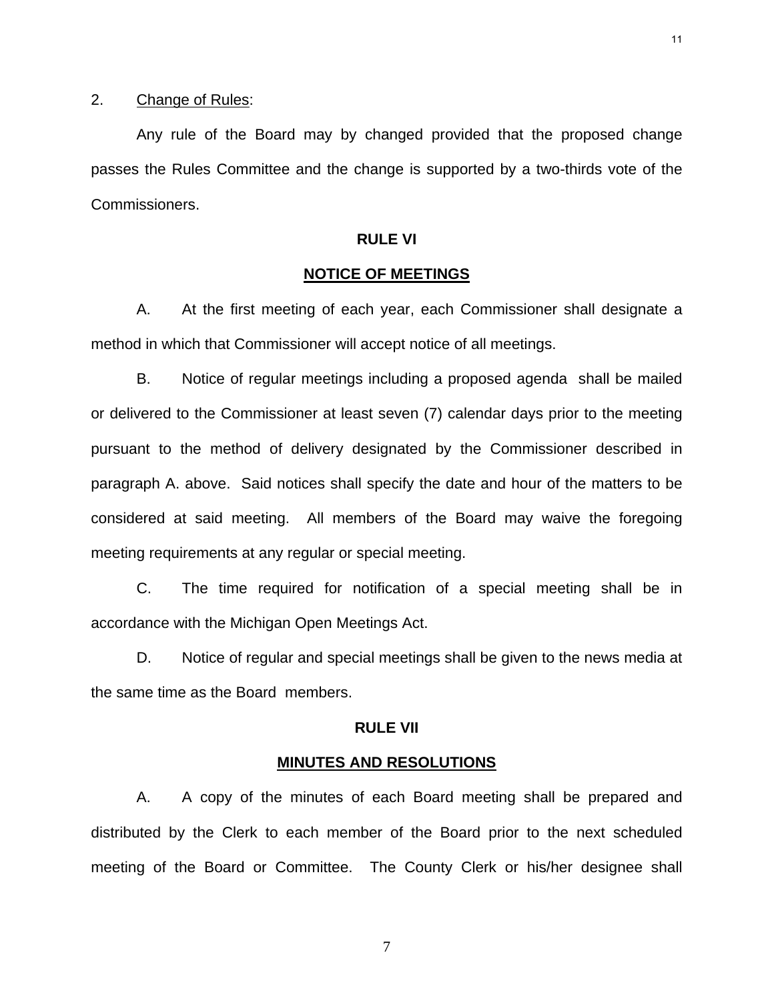2. Change of Rules:

Any rule of the Board may by changed provided that the proposed change passes the Rules Committee and the change is supported by a two-thirds vote of the Commissioners.

## **RULE VI**

#### **NOTICE OF MEETINGS**

A. At the first meeting of each year, each Commissioner shall designate a method in which that Commissioner will accept notice of all meetings.

B. Notice of regular meetings including a proposed agenda shall be mailed or delivered to the Commissioner at least seven (7) calendar days prior to the meeting pursuant to the method of delivery designated by the Commissioner described in paragraph A. above. Said notices shall specify the date and hour of the matters to be considered at said meeting. All members of the Board may waive the foregoing meeting requirements at any regular or special meeting.

 C. The time required for notification of a special meeting shall be in accordance with the Michigan Open Meetings Act.

 D. Notice of regular and special meetings shall be given to the news media at the same time as the Board members.

#### **RULE VII**

#### **MINUTES AND RESOLUTIONS**

 A. A copy of the minutes of each Board meeting shall be prepared and distributed by the Clerk to each member of the Board prior to the next scheduled meeting of the Board or Committee. The County Clerk or his/her designee shall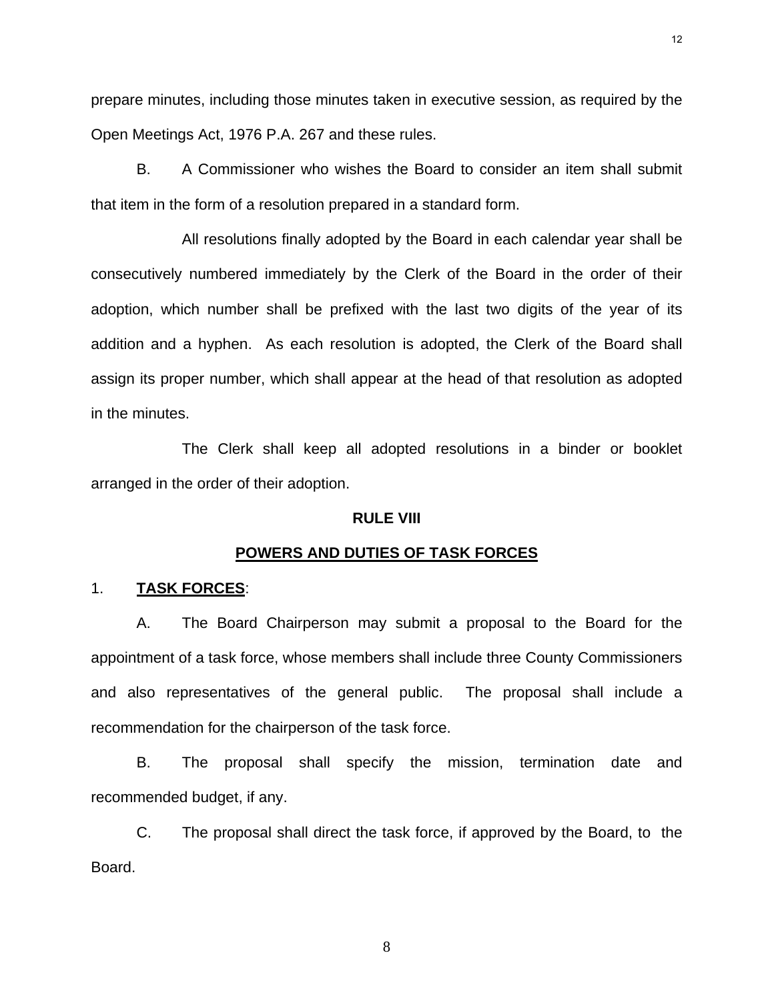prepare minutes, including those minutes taken in executive session, as required by the Open Meetings Act, 1976 P.A. 267 and these rules.

 B. A Commissioner who wishes the Board to consider an item shall submit that item in the form of a resolution prepared in a standard form.

 All resolutions finally adopted by the Board in each calendar year shall be consecutively numbered immediately by the Clerk of the Board in the order of their adoption, which number shall be prefixed with the last two digits of the year of its addition and a hyphen. As each resolution is adopted, the Clerk of the Board shall assign its proper number, which shall appear at the head of that resolution as adopted in the minutes.

 The Clerk shall keep all adopted resolutions in a binder or booklet arranged in the order of their adoption.

#### **RULE VIII**

#### **POWERS AND DUTIES OF TASK FORCES**

#### 1. **TASK FORCES**:

 A. The Board Chairperson may submit a proposal to the Board for the appointment of a task force, whose members shall include three County Commissioners and also representatives of the general public. The proposal shall include a recommendation for the chairperson of the task force.

 B. The proposal shall specify the mission, termination date and recommended budget, if any.

 C. The proposal shall direct the task force, if approved by the Board, to the Board.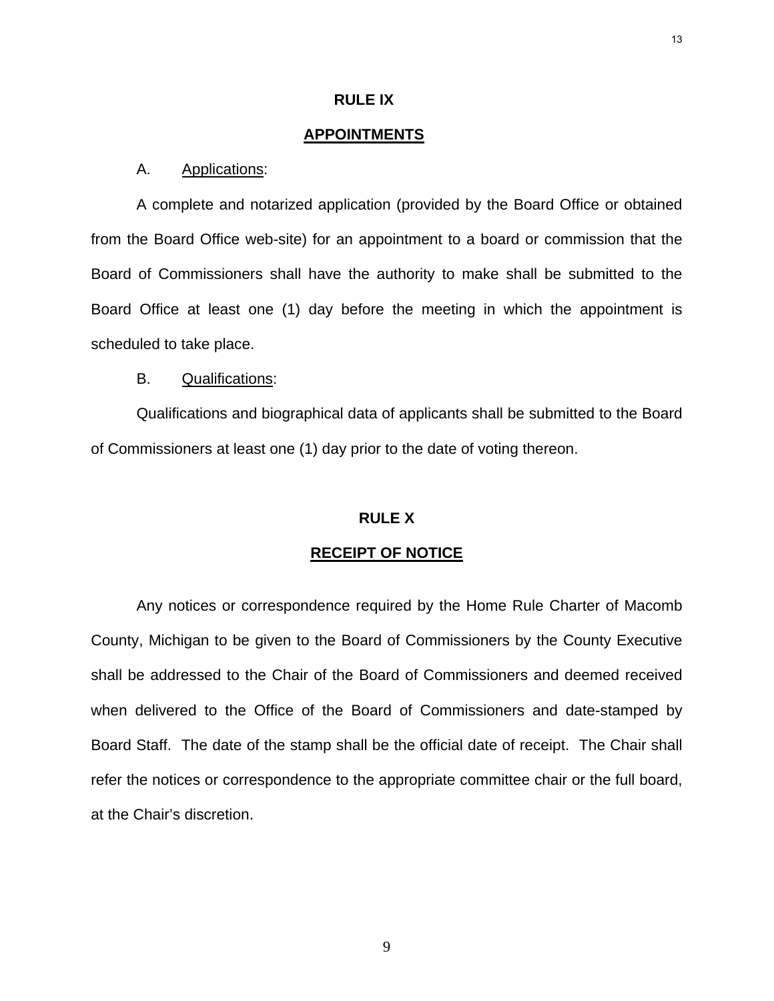#### **RULE IX**

## **APPOINTMENTS**

## A. Applications:

 A complete and notarized application (provided by the Board Office or obtained from the Board Office web-site) for an appointment to a board or commission that the Board of Commissioners shall have the authority to make shall be submitted to the Board Office at least one (1) day before the meeting in which the appointment is scheduled to take place.

#### B. Qualifications:

 Qualifications and biographical data of applicants shall be submitted to the Board of Commissioners at least one (1) day prior to the date of voting thereon.

#### **RULE X**

#### **RECEIPT OF NOTICE**

 Any notices or correspondence required by the Home Rule Charter of Macomb County, Michigan to be given to the Board of Commissioners by the County Executive shall be addressed to the Chair of the Board of Commissioners and deemed received when delivered to the Office of the Board of Commissioners and date-stamped by Board Staff. The date of the stamp shall be the official date of receipt. The Chair shall refer the notices or correspondence to the appropriate committee chair or the full board, at the Chair's discretion.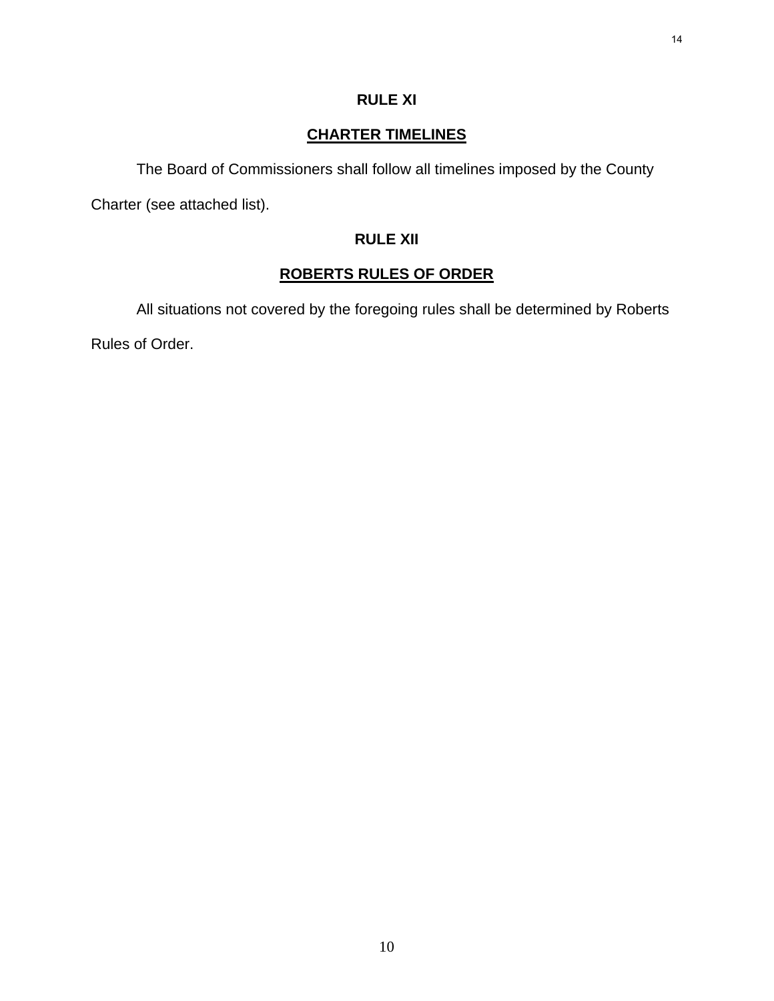# **CHARTER TIMELINES**

The Board of Commissioners shall follow all timelines imposed by the County

Charter (see attached list).

# **RULE XII**

# **ROBERTS RULES OF ORDER**

All situations not covered by the foregoing rules shall be determined by Roberts

Rules of Order.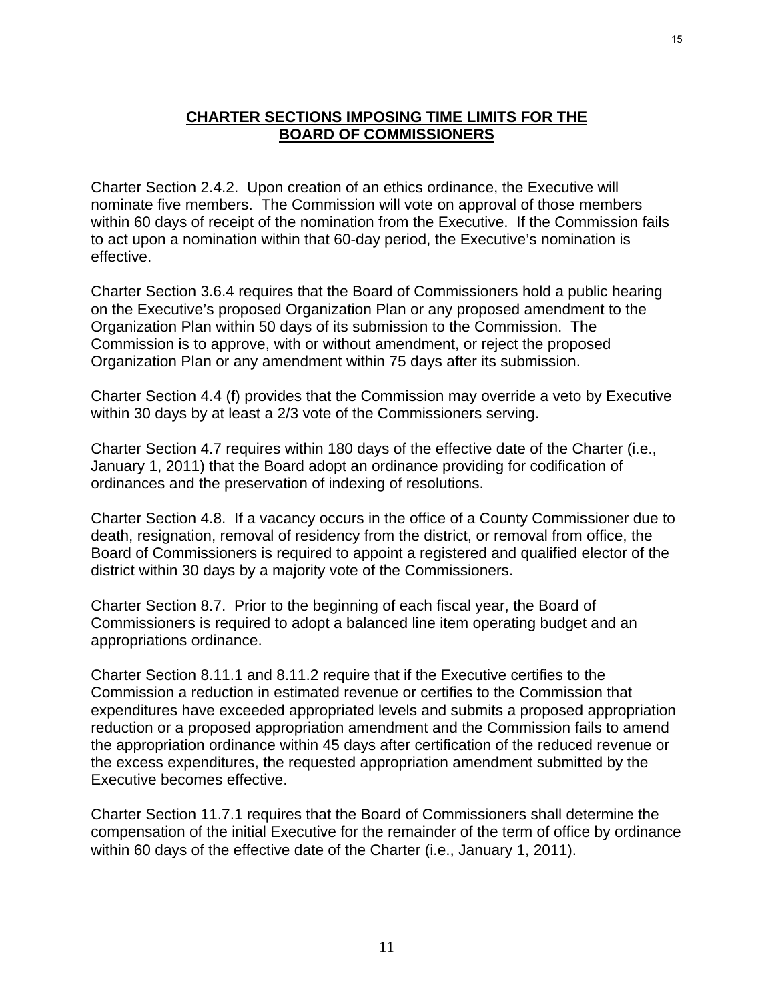## **CHARTER SECTIONS IMPOSING TIME LIMITS FOR THE BOARD OF COMMISSIONERS**

Charter Section 2.4.2. Upon creation of an ethics ordinance, the Executive will nominate five members. The Commission will vote on approval of those members within 60 days of receipt of the nomination from the Executive. If the Commission fails to act upon a nomination within that 60-day period, the Executive's nomination is effective.

Charter Section 3.6.4 requires that the Board of Commissioners hold a public hearing on the Executive's proposed Organization Plan or any proposed amendment to the Organization Plan within 50 days of its submission to the Commission. The Commission is to approve, with or without amendment, or reject the proposed Organization Plan or any amendment within 75 days after its submission.

Charter Section 4.4 (f) provides that the Commission may override a veto by Executive within 30 days by at least a 2/3 vote of the Commissioners serving.

Charter Section 4.7 requires within 180 days of the effective date of the Charter (i.e., January 1, 2011) that the Board adopt an ordinance providing for codification of ordinances and the preservation of indexing of resolutions.

Charter Section 4.8. If a vacancy occurs in the office of a County Commissioner due to death, resignation, removal of residency from the district, or removal from office, the Board of Commissioners is required to appoint a registered and qualified elector of the district within 30 days by a majority vote of the Commissioners.

Charter Section 8.7. Prior to the beginning of each fiscal year, the Board of Commissioners is required to adopt a balanced line item operating budget and an appropriations ordinance.

Charter Section 8.11.1 and 8.11.2 require that if the Executive certifies to the Commission a reduction in estimated revenue or certifies to the Commission that expenditures have exceeded appropriated levels and submits a proposed appropriation reduction or a proposed appropriation amendment and the Commission fails to amend the appropriation ordinance within 45 days after certification of the reduced revenue or the excess expenditures, the requested appropriation amendment submitted by the Executive becomes effective.

Charter Section 11.7.1 requires that the Board of Commissioners shall determine the compensation of the initial Executive for the remainder of the term of office by ordinance within 60 days of the effective date of the Charter (i.e., January 1, 2011).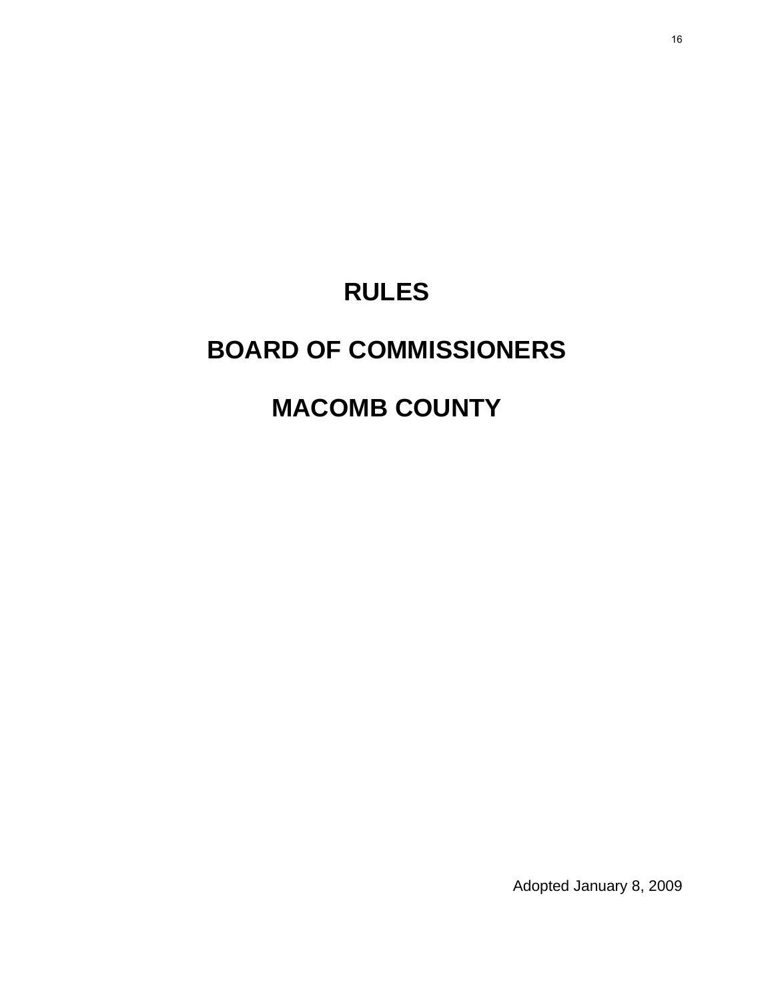# **RULES**

# **BOARD OF COMMISSIONERS**

# **MACOMB COUNTY**

Adopted January 8, 2009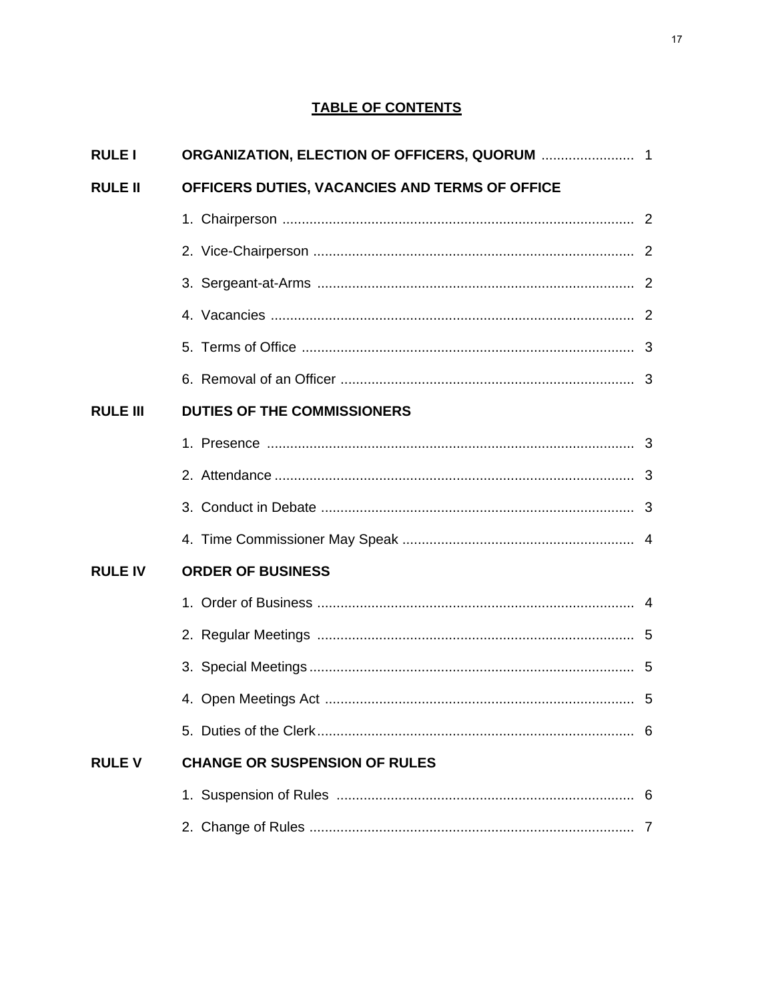# **TABLE OF CONTENTS**

| <b>RULEI</b>    |                                                |  |
|-----------------|------------------------------------------------|--|
| <b>RULE II</b>  | OFFICERS DUTIES, VACANCIES AND TERMS OF OFFICE |  |
|                 |                                                |  |
|                 |                                                |  |
|                 |                                                |  |
|                 |                                                |  |
|                 |                                                |  |
|                 |                                                |  |
| <b>RULE III</b> | <b>DUTIES OF THE COMMISSIONERS</b>             |  |
|                 |                                                |  |
|                 |                                                |  |
|                 |                                                |  |
|                 |                                                |  |
| <b>RULE IV</b>  | <b>ORDER OF BUSINESS</b>                       |  |
|                 |                                                |  |
|                 |                                                |  |
|                 |                                                |  |
|                 |                                                |  |
|                 |                                                |  |
| <b>RULE V</b>   | <b>CHANGE OR SUSPENSION OF RULES</b>           |  |
|                 |                                                |  |
|                 |                                                |  |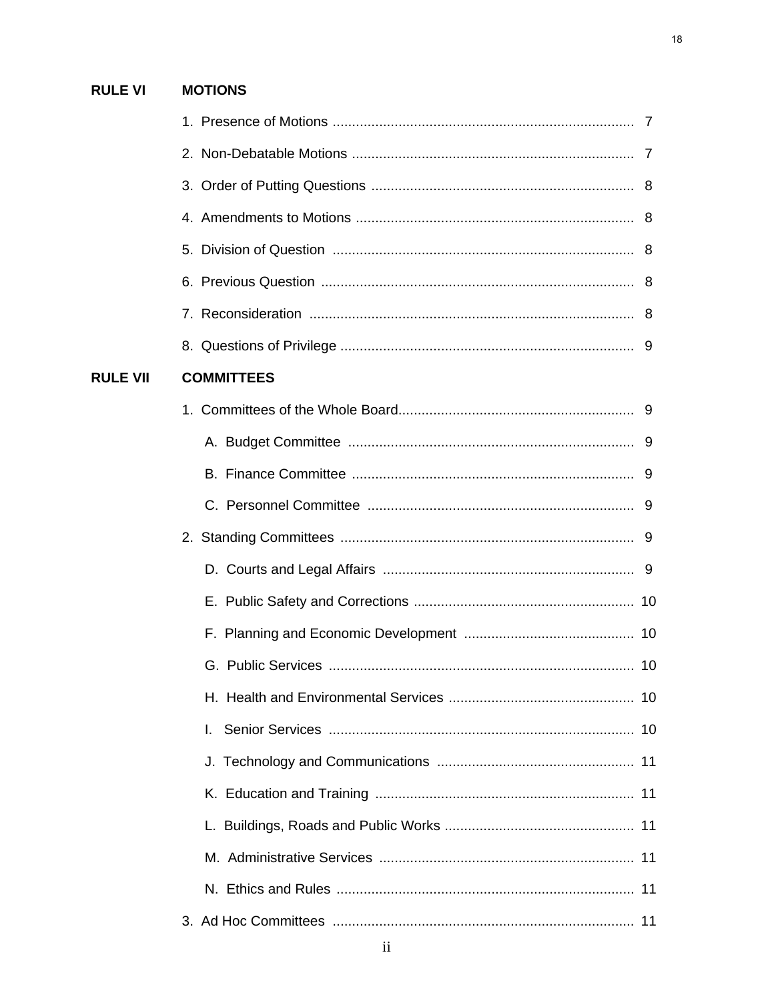#### **RULE VI MOTIONS**

| <b>RULE VII</b> | <b>COMMITTEES</b> |  |
|-----------------|-------------------|--|
|                 |                   |  |
|                 |                   |  |
|                 |                   |  |
|                 |                   |  |
|                 |                   |  |
|                 |                   |  |
|                 |                   |  |
|                 |                   |  |
|                 |                   |  |
|                 |                   |  |
|                 |                   |  |
|                 |                   |  |
|                 |                   |  |
|                 |                   |  |
|                 |                   |  |
|                 |                   |  |
|                 |                   |  |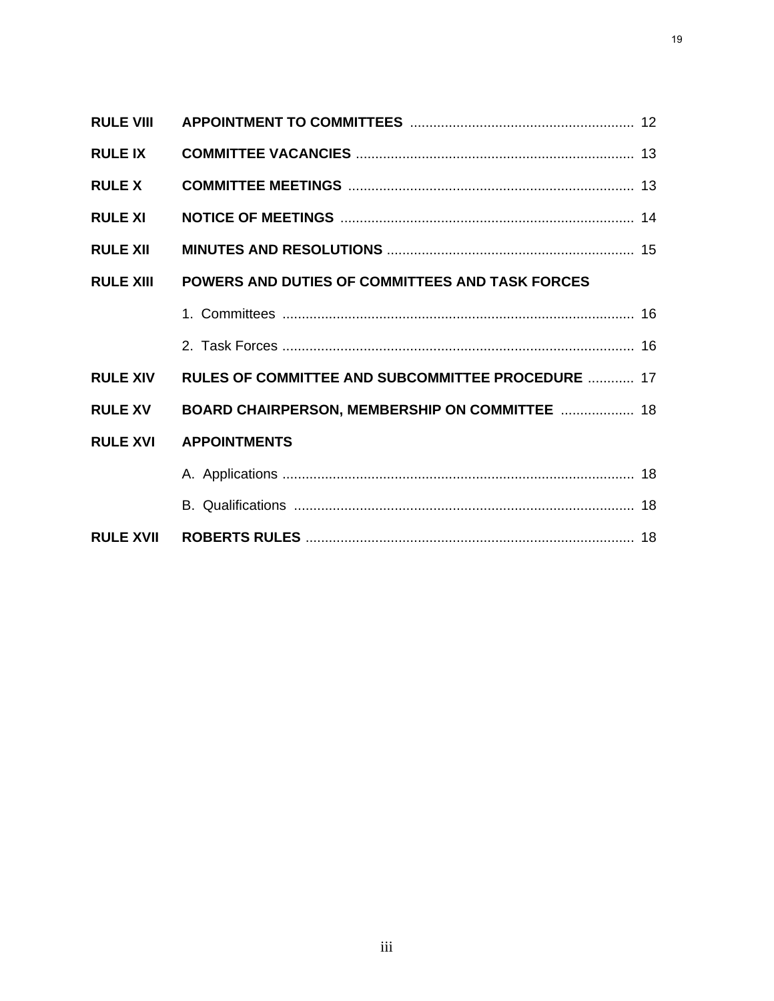| <b>RULE VIII</b> |                                                   |  |
|------------------|---------------------------------------------------|--|
| <b>RULE IX</b>   |                                                   |  |
| <b>RULE X</b>    |                                                   |  |
| <b>RULE XI</b>   |                                                   |  |
| <b>RULE XII</b>  |                                                   |  |
| <b>RULE XIII</b> | POWERS AND DUTIES OF COMMITTEES AND TASK FORCES   |  |
|                  |                                                   |  |
|                  |                                                   |  |
| <b>RULE XIV</b>  | RULES OF COMMITTEE AND SUBCOMMITTEE PROCEDURE  17 |  |
| <b>RULE XV</b>   | BOARD CHAIRPERSON, MEMBERSHIP ON COMMITTEE  18    |  |
| <b>RULE XVI</b>  | <b>APPOINTMENTS</b>                               |  |
|                  |                                                   |  |
|                  |                                                   |  |
| <b>RULE XVII</b> |                                                   |  |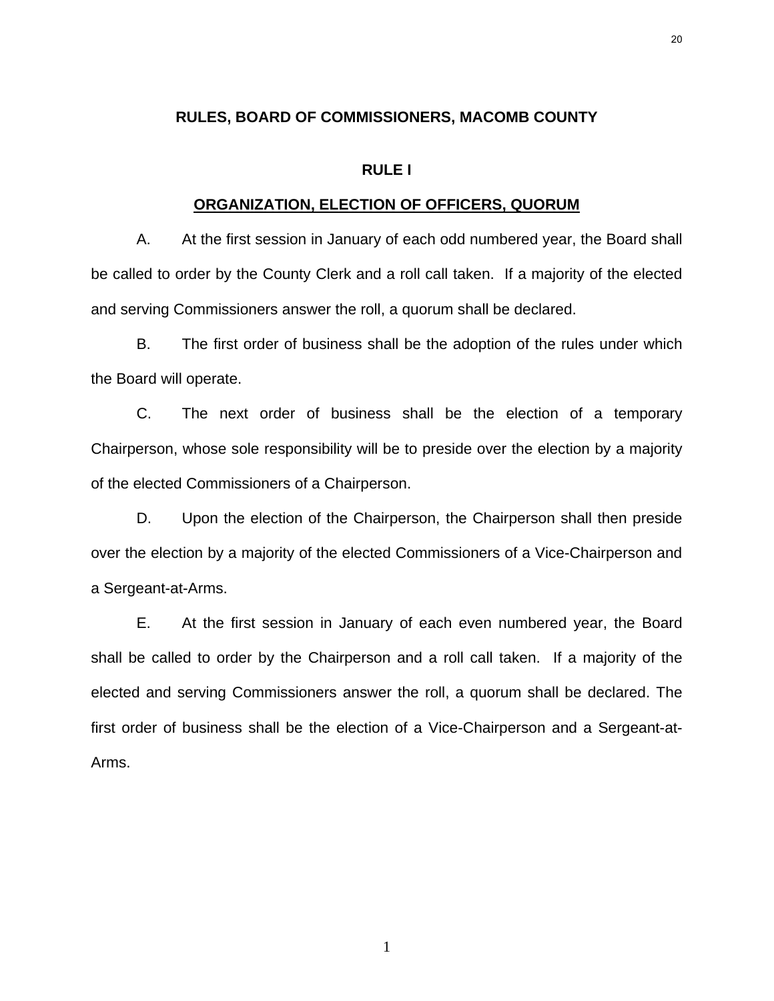#### **RULES, BOARD OF COMMISSIONERS, MACOMB COUNTY**

## **RULE I**

#### **ORGANIZATION, ELECTION OF OFFICERS, QUORUM**

 A. At the first session in January of each odd numbered year, the Board shall be called to order by the County Clerk and a roll call taken. If a majority of the elected and serving Commissioners answer the roll, a quorum shall be declared.

 B. The first order of business shall be the adoption of the rules under which the Board will operate.

 C. The next order of business shall be the election of a temporary Chairperson, whose sole responsibility will be to preside over the election by a majority of the elected Commissioners of a Chairperson.

D. Upon the election of the Chairperson, the Chairperson shall then preside over the election by a majority of the elected Commissioners of a Vice-Chairperson and a Sergeant-at-Arms.

E. At the first session in January of each even numbered year, the Board shall be called to order by the Chairperson and a roll call taken. If a majority of the elected and serving Commissioners answer the roll, a quorum shall be declared. The first order of business shall be the election of a Vice-Chairperson and a Sergeant-at-Arms.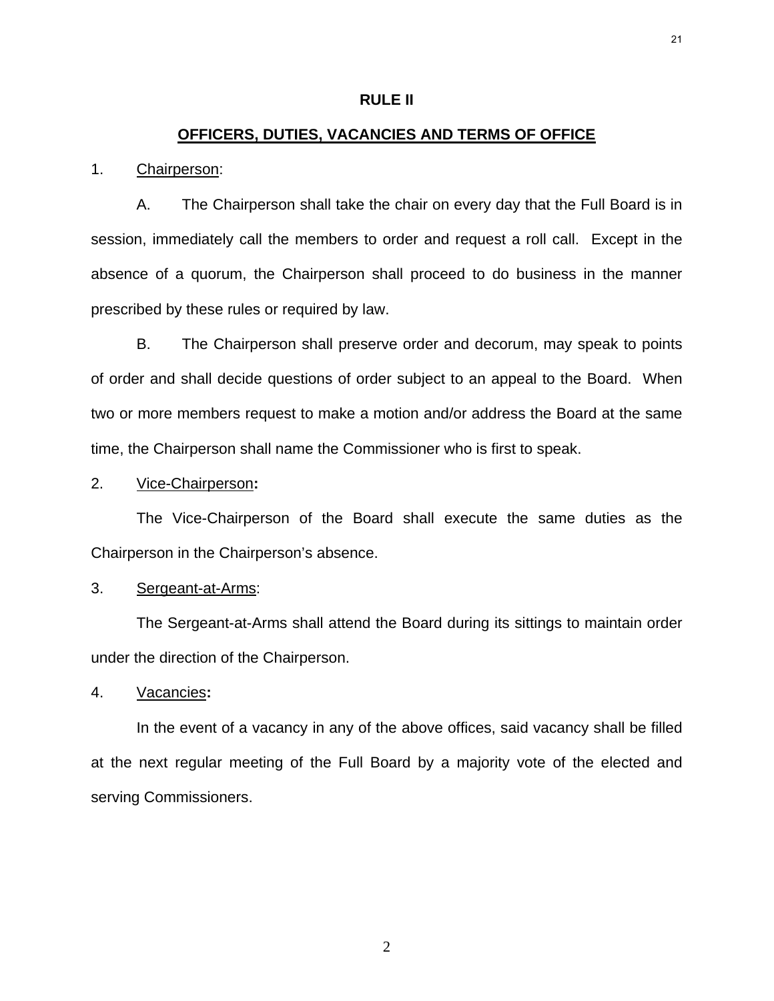#### **RULE II**

## **OFFICERS, DUTIES, VACANCIES AND TERMS OF OFFICE**

## 1. Chairperson:

 A. The Chairperson shall take the chair on every day that the Full Board is in session, immediately call the members to order and request a roll call. Except in the absence of a quorum, the Chairperson shall proceed to do business in the manner prescribed by these rules or required by law.

 B. The Chairperson shall preserve order and decorum, may speak to points of order and shall decide questions of order subject to an appeal to the Board. When two or more members request to make a motion and/or address the Board at the same time, the Chairperson shall name the Commissioner who is first to speak.

## 2. Vice-Chairperson**:**

The Vice-Chairperson of the Board shall execute the same duties as the Chairperson in the Chairperson's absence.

#### 3. Sergeant-at-Arms:

The Sergeant-at-Arms shall attend the Board during its sittings to maintain order under the direction of the Chairperson.

#### 4. Vacancies**:**

In the event of a vacancy in any of the above offices, said vacancy shall be filled at the next regular meeting of the Full Board by a majority vote of the elected and serving Commissioners.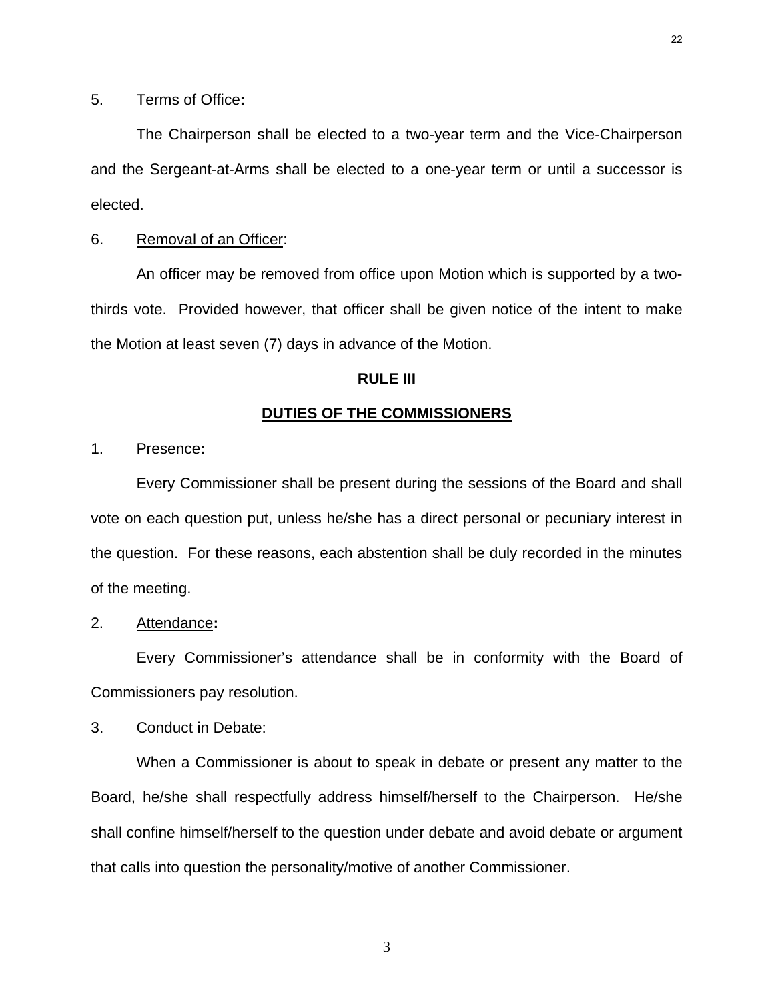## 5. Terms of Office**:**

The Chairperson shall be elected to a two-year term and the Vice-Chairperson and the Sergeant-at-Arms shall be elected to a one-year term or until a successor is elected.

## 6. Removal of an Officer:

An officer may be removed from office upon Motion which is supported by a twothirds vote. Provided however, that officer shall be given notice of the intent to make the Motion at least seven (7) days in advance of the Motion.

## **RULE III**

### **DUTIES OF THE COMMISSIONERS**

#### 1. Presence**:**

Every Commissioner shall be present during the sessions of the Board and shall vote on each question put, unless he/she has a direct personal or pecuniary interest in the question. For these reasons, each abstention shall be duly recorded in the minutes of the meeting.

## 2.Attendance**:**

Every Commissioner's attendance shall be in conformity with the Board of Commissioners pay resolution.

### 3. Conduct in Debate:

When a Commissioner is about to speak in debate or present any matter to the Board, he/she shall respectfully address himself/herself to the Chairperson. He/she shall confine himself/herself to the question under debate and avoid debate or argument that calls into question the personality/motive of another Commissioner.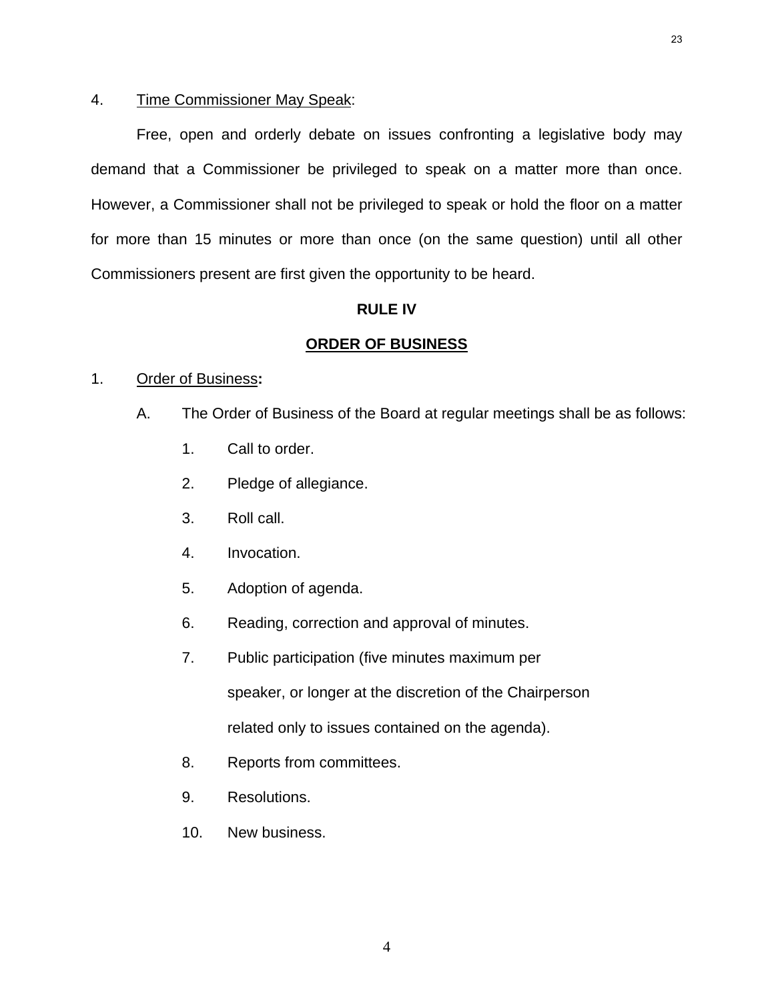## 4. Time Commissioner May Speak:

Free, open and orderly debate on issues confronting a legislative body may demand that a Commissioner be privileged to speak on a matter more than once. However, a Commissioner shall not be privileged to speak or hold the floor on a matter for more than 15 minutes or more than once (on the same question) until all other Commissioners present are first given the opportunity to be heard.

## **RULE IV**

## **ORDER OF BUSINESS**

## 1. Order of Business**:**

- A. The Order of Business of the Board at regular meetings shall be as follows:
	- 1. Call to order.
	- 2. Pledge of allegiance.
	- 3. Roll call.
	- 4. Invocation.
	- 5. Adoption of agenda.
	- 6. Reading, correction and approval of minutes.
	- 7. Public participation (five minutes maximum per speaker, or longer at the discretion of the Chairperson related only to issues contained on the agenda).
	- 8. Reports from committees.
	- 9. Resolutions.
	- 10. New business.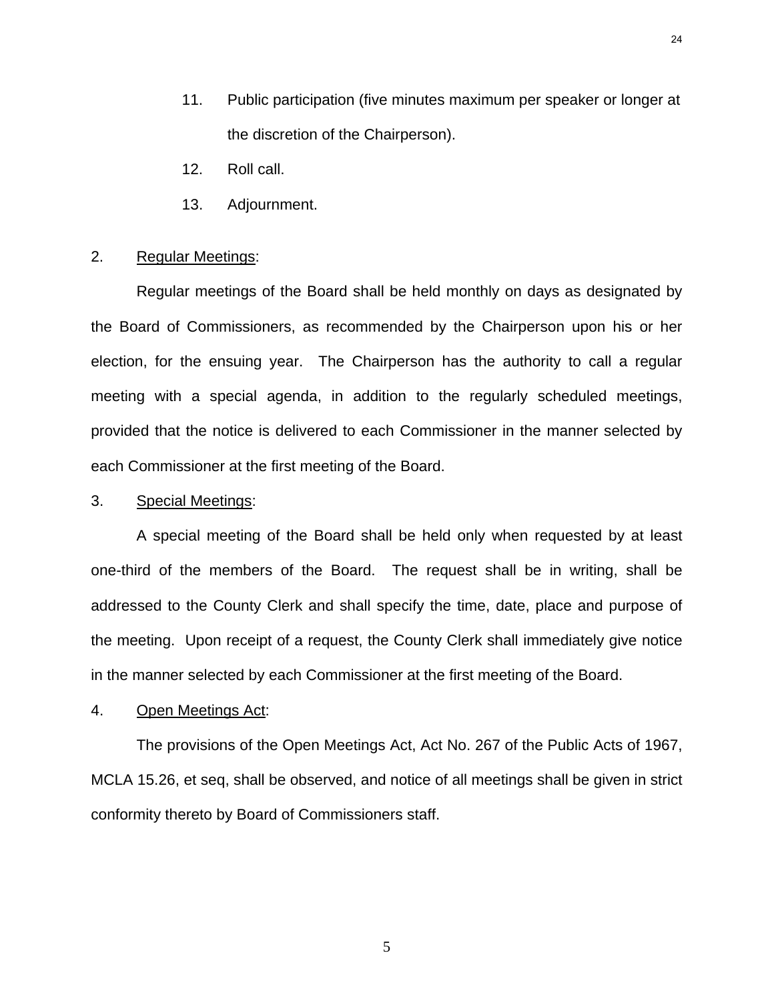- 11. Public participation (five minutes maximum per speaker or longer at the discretion of the Chairperson).
- 12. Roll call.
- 13. Adjournment.

## 2. Regular Meetings:

Regular meetings of the Board shall be held monthly on days as designated by the Board of Commissioners, as recommended by the Chairperson upon his or her election, for the ensuing year. The Chairperson has the authority to call a regular meeting with a special agenda, in addition to the regularly scheduled meetings, provided that the notice is delivered to each Commissioner in the manner selected by each Commissioner at the first meeting of the Board.

## 3. Special Meetings:

A special meeting of the Board shall be held only when requested by at least one-third of the members of the Board. The request shall be in writing, shall be addressed to the County Clerk and shall specify the time, date, place and purpose of the meeting. Upon receipt of a request, the County Clerk shall immediately give notice in the manner selected by each Commissioner at the first meeting of the Board.

## 4. Open Meetings Act:

The provisions of the Open Meetings Act, Act No. 267 of the Public Acts of 1967, MCLA 15.26, et seq, shall be observed, and notice of all meetings shall be given in strict conformity thereto by Board of Commissioners staff.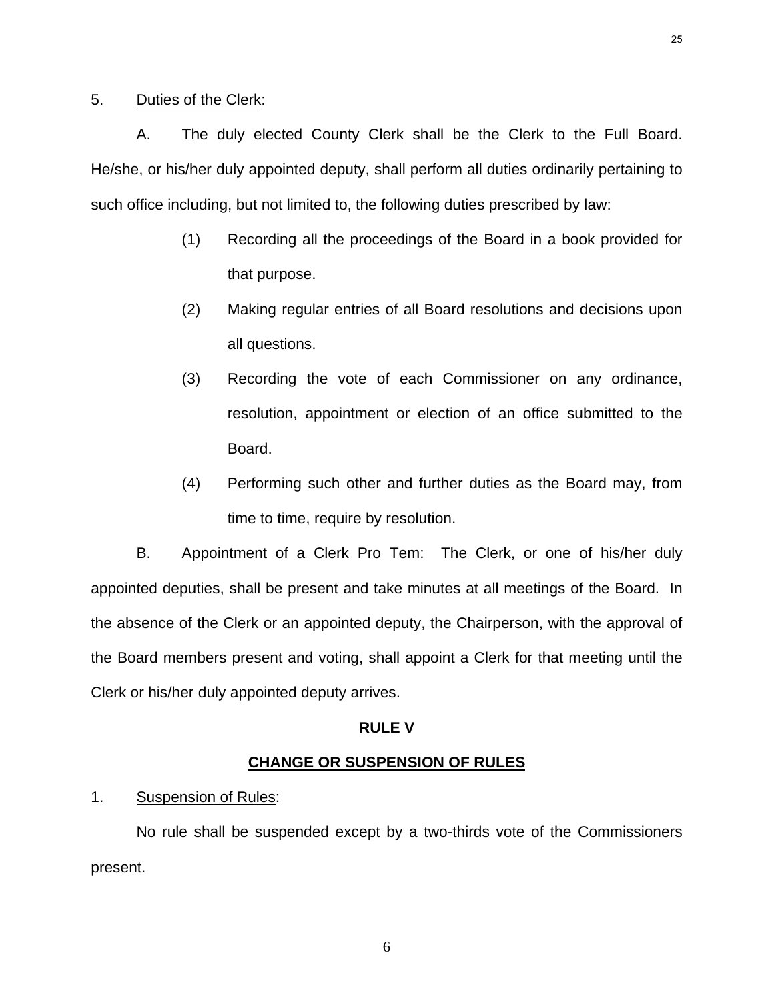## 5. Duties of the Clerk:

 A. The duly elected County Clerk shall be the Clerk to the Full Board. He/she, or his/her duly appointed deputy, shall perform all duties ordinarily pertaining to such office including, but not limited to, the following duties prescribed by law:

- (1) Recording all the proceedings of the Board in a book provided for that purpose.
- (2) Making regular entries of all Board resolutions and decisions upon all questions.
- (3) Recording the vote of each Commissioner on any ordinance, resolution, appointment or election of an office submitted to the Board.
- (4) Performing such other and further duties as the Board may, from time to time, require by resolution.

 B. Appointment of a Clerk Pro Tem: The Clerk, or one of his/her duly appointed deputies, shall be present and take minutes at all meetings of the Board. In the absence of the Clerk or an appointed deputy, the Chairperson, with the approval of the Board members present and voting, shall appoint a Clerk for that meeting until the Clerk or his/her duly appointed deputy arrives.

#### **RULE V**

### **CHANGE OR SUSPENSION OF RULES**

### 1. Suspension of Rules:

No rule shall be suspended except by a two-thirds vote of the Commissioners present.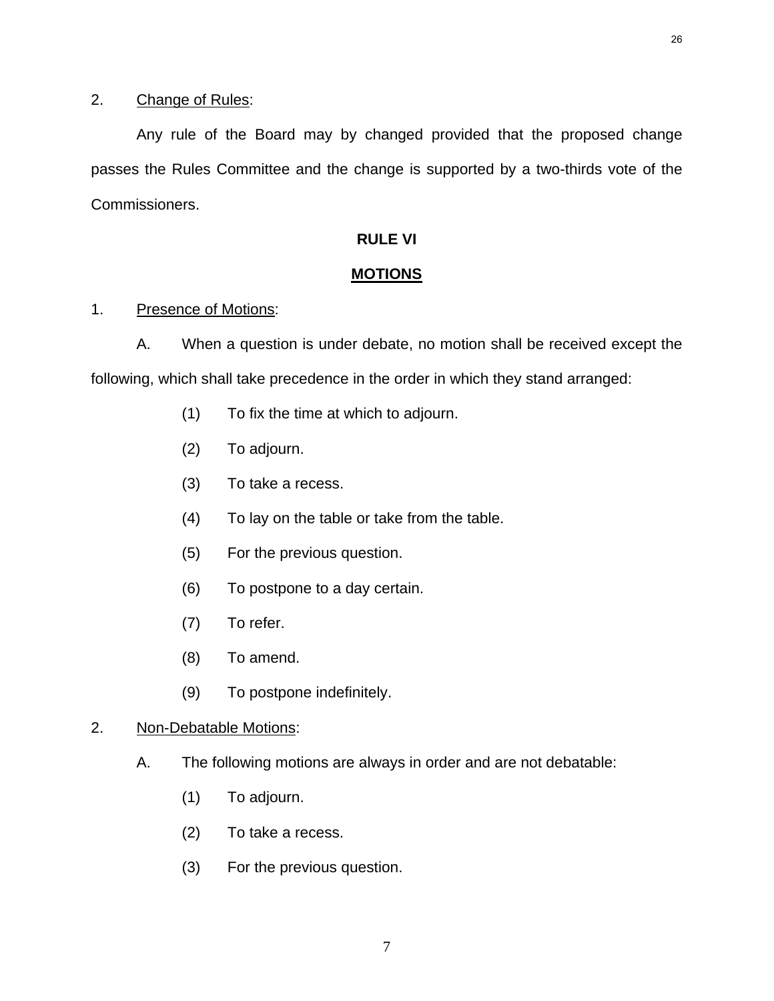26

## 2. Change of Rules:

Any rule of the Board may by changed provided that the proposed change passes the Rules Committee and the change is supported by a two-thirds vote of the Commissioners.

# **RULE VI**

## **MOTIONS**

## 1. Presence of Motions:

A. When a question is under debate, no motion shall be received except the following, which shall take precedence in the order in which they stand arranged:

- (1) To fix the time at which to adjourn.
- (2) To adjourn.
- (3) To take a recess.
- (4) To lay on the table or take from the table.
- (5) For the previous question.
- (6) To postpone to a day certain.
- (7) To refer.
- (8) To amend.
- (9) To postpone indefinitely.

## 2. Non-Debatable Motions:

- A. The following motions are always in order and are not debatable:
	- (1) To adjourn.
	- (2) To take a recess.
	- (3) For the previous question.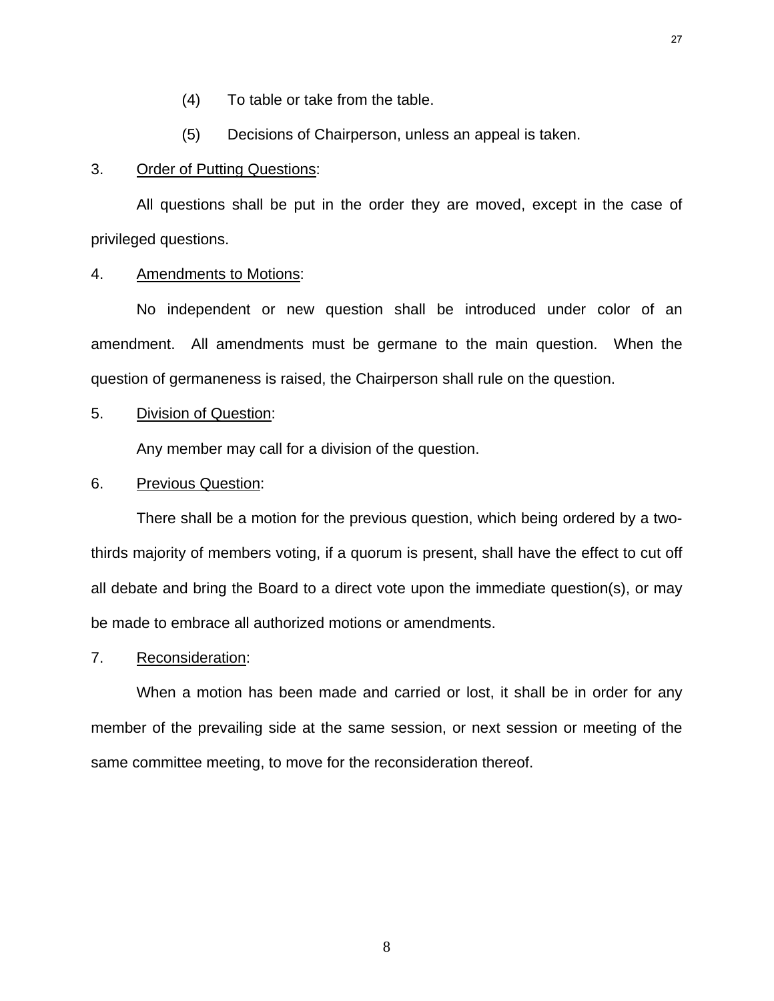- (4) To table or take from the table.
- (5) Decisions of Chairperson, unless an appeal is taken.

## 3. Order of Putting Questions:

 All questions shall be put in the order they are moved, except in the case of privileged questions.

#### 4. Amendments to Motions:

 No independent or new question shall be introduced under color of an amendment. All amendments must be germane to the main question. When the question of germaneness is raised, the Chairperson shall rule on the question.

## 5. Division of Question:

Any member may call for a division of the question.

#### 6. Previous Question:

 There shall be a motion for the previous question, which being ordered by a twothirds majority of members voting, if a quorum is present, shall have the effect to cut off all debate and bring the Board to a direct vote upon the immediate question(s), or may be made to embrace all authorized motions or amendments.

#### 7. Reconsideration:

 When a motion has been made and carried or lost, it shall be in order for any member of the prevailing side at the same session, or next session or meeting of the same committee meeting, to move for the reconsideration thereof.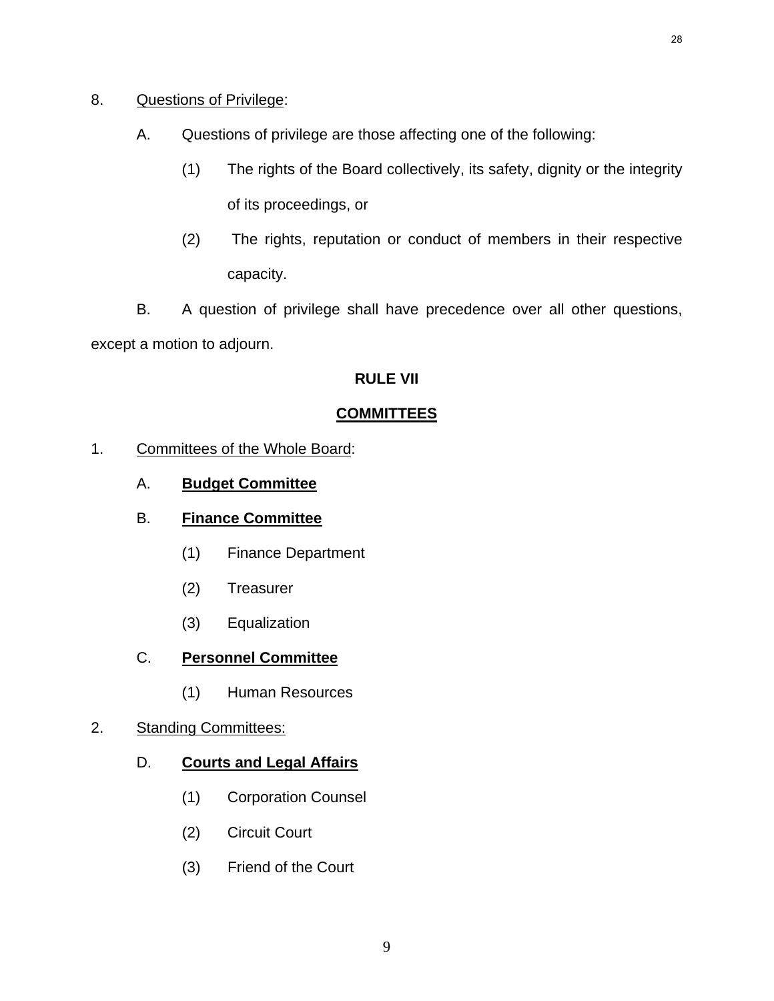# 8. Questions of Privilege:

- A. Questions of privilege are those affecting one of the following:
	- (1) The rights of the Board collectively, its safety, dignity or the integrity of its proceedings, or
	- (2) The rights, reputation or conduct of members in their respective capacity.

 B. A question of privilege shall have precedence over all other questions, except a motion to adjourn.

# **RULE VII**

# **COMMITTEES**

- 1. Committees of the Whole Board:
	- A. **Budget Committee**

# B. **Finance Committee**

- (1) Finance Department
- (2) Treasurer
- (3) Equalization

# C. **Personnel Committee**

(1) Human Resources

# 2. Standing Committees:

# D. **Courts and Legal Affairs**

- (1) Corporation Counsel
- (2) Circuit Court
- (3) Friend of the Court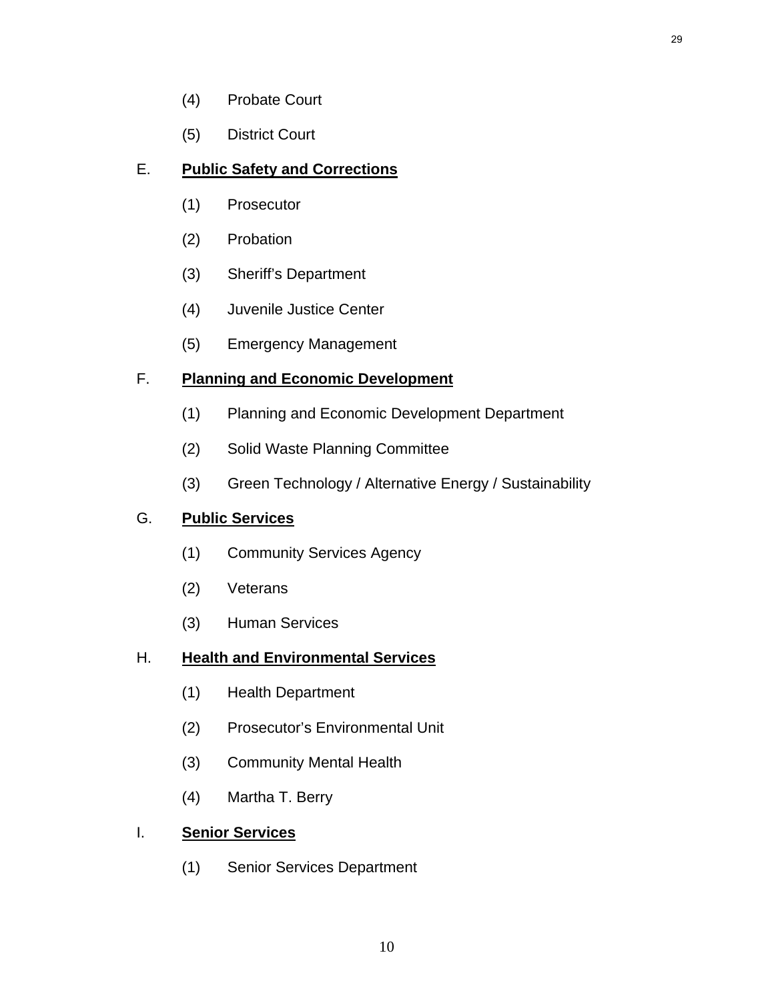- (4) Probate Court
- (5) District Court

# E. **Public Safety and Corrections**

- (1) Prosecutor
- (2) Probation
- (3) Sheriff's Department
- (4) Juvenile Justice Center
- (5) Emergency Management

# F. **Planning and Economic Development**

- (1) Planning and Economic Development Department
- (2) Solid Waste Planning Committee
- (3) Green Technology / Alternative Energy / Sustainability

# G. **Public Services**

- (1) Community Services Agency
- (2) Veterans
- (3) Human Services

# H. **Health and Environmental Services**

- (1) Health Department
- (2) Prosecutor's Environmental Unit
- (3) Community Mental Health
- (4) Martha T. Berry

# I. **Senior Services**

(1) Senior Services Department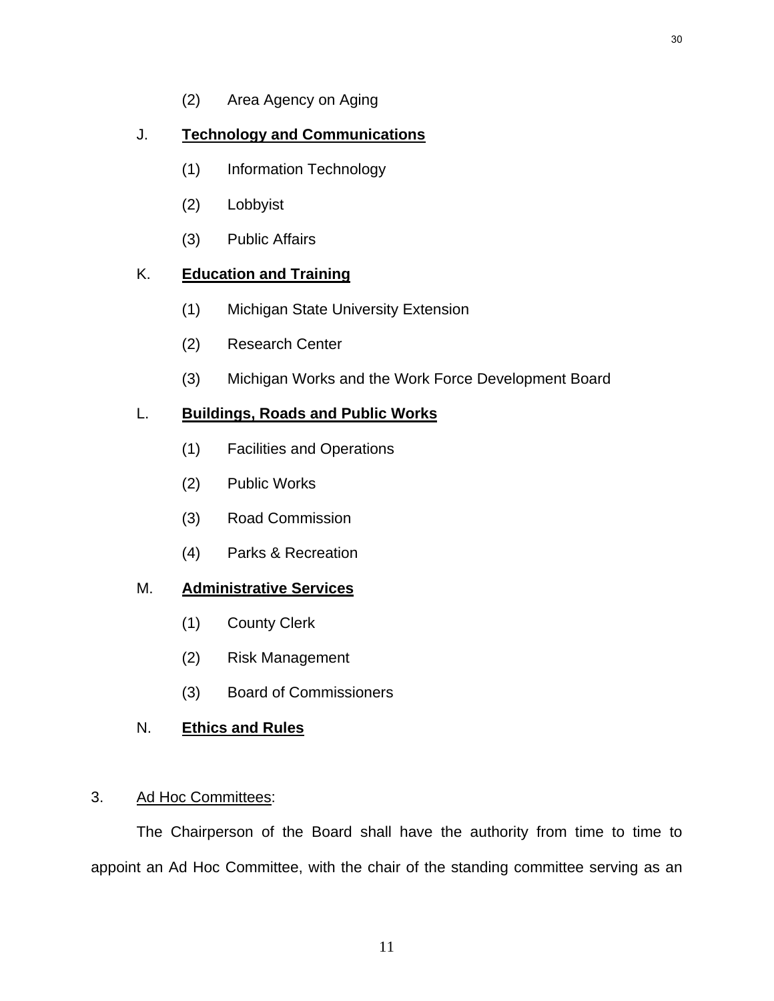(2) Area Agency on Aging

## J. **Technology and Communications**

- (1) Information Technology
- (2) Lobbyist
- (3) Public Affairs

## K. **Education and Training**

- (1) Michigan State University Extension
- (2) Research Center
- (3) Michigan Works and the Work Force Development Board

## L. **Buildings, Roads and Public Works**

- (1) Facilities and Operations
- (2) Public Works
- (3) Road Commission
- (4) Parks & Recreation

## M. **Administrative Services**

- (1) County Clerk
- (2) Risk Management
- (3) Board of Commissioners

## N. **Ethics and Rules**

## 3. Ad Hoc Committees:

 The Chairperson of the Board shall have the authority from time to time to appoint an Ad Hoc Committee, with the chair of the standing committee serving as an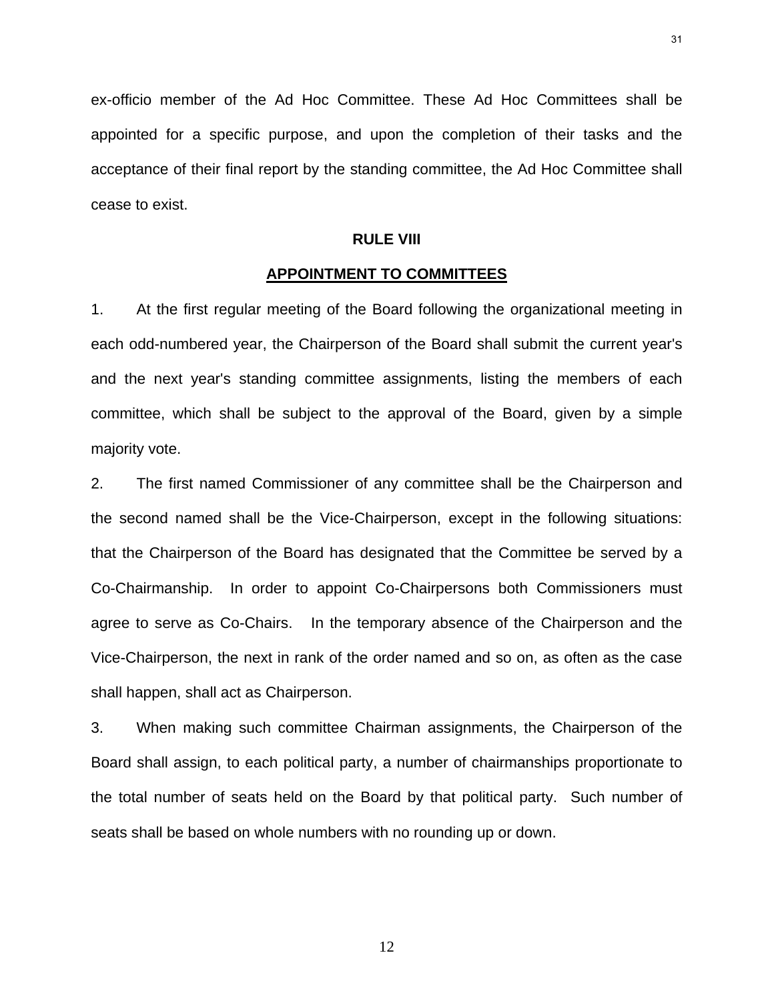ex-officio member of the Ad Hoc Committee. These Ad Hoc Committees shall be appointed for a specific purpose, and upon the completion of their tasks and the acceptance of their final report by the standing committee, the Ad Hoc Committee shall cease to exist.

#### **RULE VIII**

#### **APPOINTMENT TO COMMITTEES**

1. At the first regular meeting of the Board following the organizational meeting in each odd-numbered year, the Chairperson of the Board shall submit the current year's and the next year's standing committee assignments, listing the members of each committee, which shall be subject to the approval of the Board, given by a simple majority vote.

2. The first named Commissioner of any committee shall be the Chairperson and the second named shall be the Vice-Chairperson, except in the following situations: that the Chairperson of the Board has designated that the Committee be served by a Co-Chairmanship. In order to appoint Co-Chairpersons both Commissioners must agree to serve as Co-Chairs. In the temporary absence of the Chairperson and the Vice-Chairperson, the next in rank of the order named and so on, as often as the case shall happen, shall act as Chairperson.

3. When making such committee Chairman assignments, the Chairperson of the Board shall assign, to each political party, a number of chairmanships proportionate to the total number of seats held on the Board by that political party. Such number of seats shall be based on whole numbers with no rounding up or down.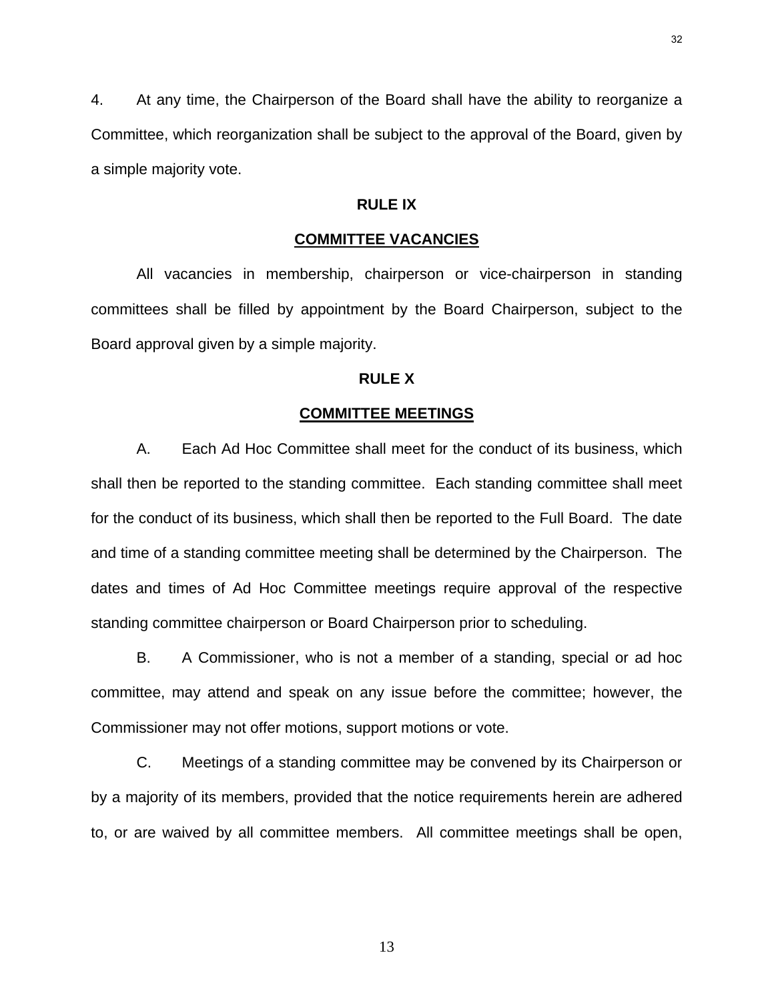4. At any time, the Chairperson of the Board shall have the ability to reorganize a Committee, which reorganization shall be subject to the approval of the Board, given by a simple majority vote.

## **RULE IX**

## **COMMITTEE VACANCIES**

 All vacancies in membership, chairperson or vice-chairperson in standing committees shall be filled by appointment by the Board Chairperson, subject to the Board approval given by a simple majority.

## **RULE X**

#### **COMMITTEE MEETINGS**

 A. Each Ad Hoc Committee shall meet for the conduct of its business, which shall then be reported to the standing committee. Each standing committee shall meet for the conduct of its business, which shall then be reported to the Full Board. The date and time of a standing committee meeting shall be determined by the Chairperson. The dates and times of Ad Hoc Committee meetings require approval of the respective standing committee chairperson or Board Chairperson prior to scheduling.

 B. A Commissioner, who is not a member of a standing, special or ad hoc committee, may attend and speak on any issue before the committee; however, the Commissioner may not offer motions, support motions or vote.

 C. Meetings of a standing committee may be convened by its Chairperson or by a majority of its members, provided that the notice requirements herein are adhered to, or are waived by all committee members. All committee meetings shall be open,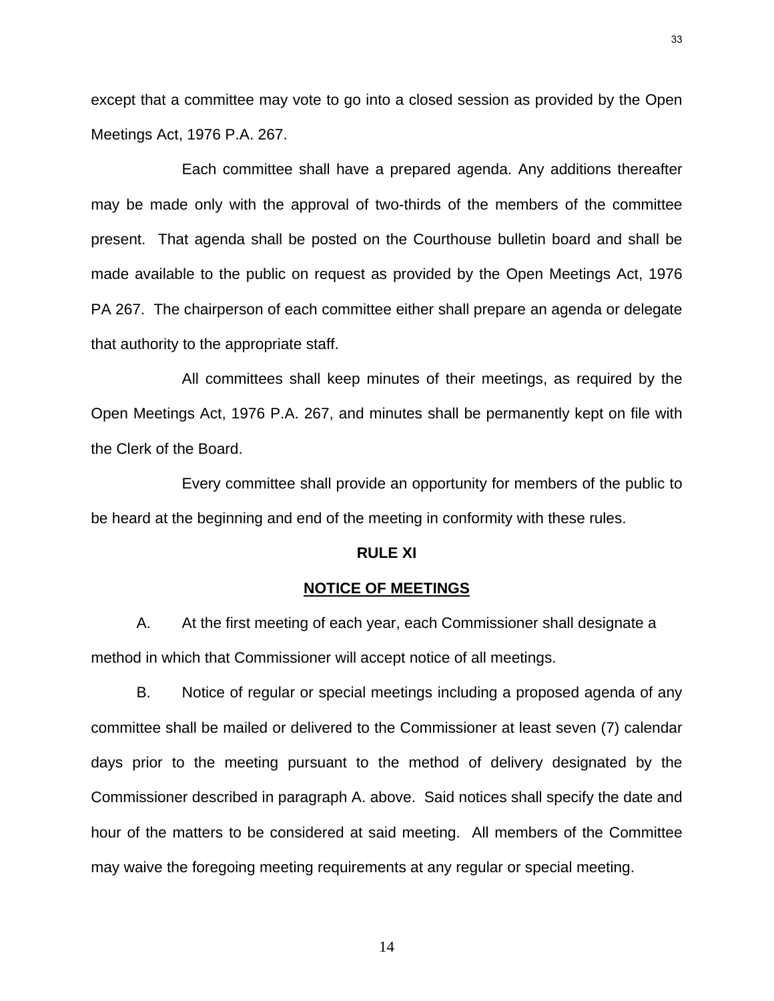except that a committee may vote to go into a closed session as provided by the Open Meetings Act, 1976 P.A. 267.

 Each committee shall have a prepared agenda. Any additions thereafter may be made only with the approval of two-thirds of the members of the committee present. That agenda shall be posted on the Courthouse bulletin board and shall be made available to the public on request as provided by the Open Meetings Act, 1976 PA 267. The chairperson of each committee either shall prepare an agenda or delegate that authority to the appropriate staff.

 All committees shall keep minutes of their meetings, as required by the Open Meetings Act, 1976 P.A. 267, and minutes shall be permanently kept on file with the Clerk of the Board.

 Every committee shall provide an opportunity for members of the public to be heard at the beginning and end of the meeting in conformity with these rules.

#### **RULE XI**

#### **NOTICE OF MEETINGS**

A. At the first meeting of each year, each Commissioner shall designate a method in which that Commissioner will accept notice of all meetings.

B. Notice of regular or special meetings including a proposed agenda of any committee shall be mailed or delivered to the Commissioner at least seven (7) calendar days prior to the meeting pursuant to the method of delivery designated by the Commissioner described in paragraph A. above. Said notices shall specify the date and hour of the matters to be considered at said meeting. All members of the Committee may waive the foregoing meeting requirements at any regular or special meeting.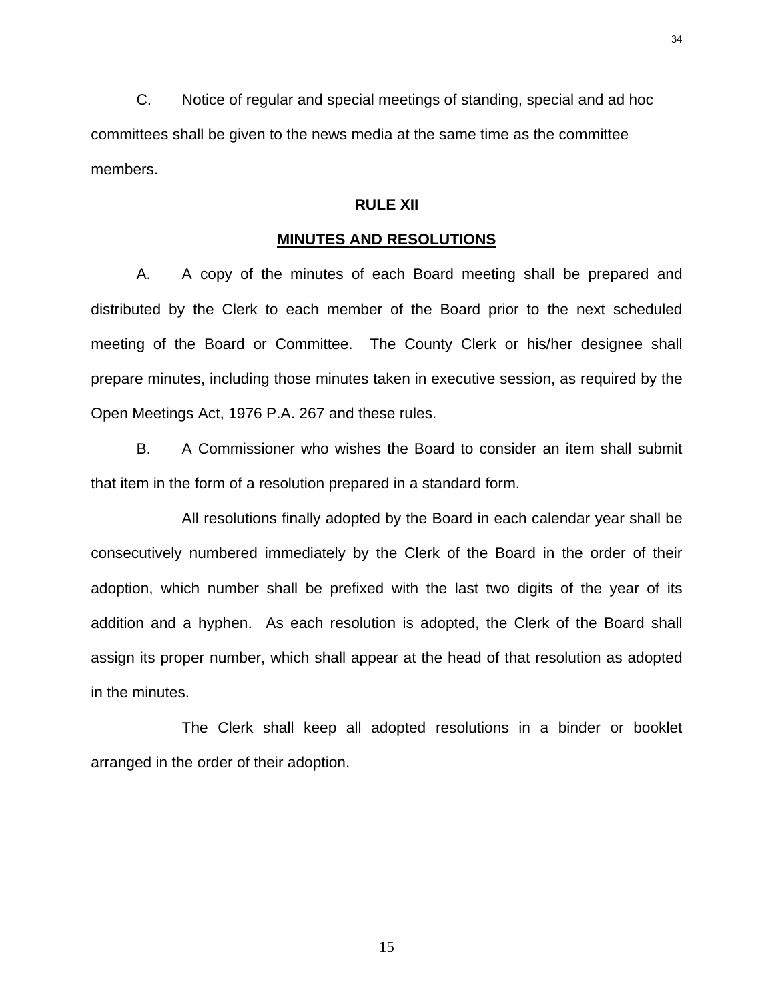C. Notice of regular and special meetings of standing, special and ad hoc committees shall be given to the news media at the same time as the committee members.

## **RULE XII**

#### **MINUTES AND RESOLUTIONS**

 A. A copy of the minutes of each Board meeting shall be prepared and distributed by the Clerk to each member of the Board prior to the next scheduled meeting of the Board or Committee. The County Clerk or his/her designee shall prepare minutes, including those minutes taken in executive session, as required by the Open Meetings Act, 1976 P.A. 267 and these rules.

 B. A Commissioner who wishes the Board to consider an item shall submit that item in the form of a resolution prepared in a standard form.

 All resolutions finally adopted by the Board in each calendar year shall be consecutively numbered immediately by the Clerk of the Board in the order of their adoption, which number shall be prefixed with the last two digits of the year of its addition and a hyphen. As each resolution is adopted, the Clerk of the Board shall assign its proper number, which shall appear at the head of that resolution as adopted in the minutes.

 The Clerk shall keep all adopted resolutions in a binder or booklet arranged in the order of their adoption.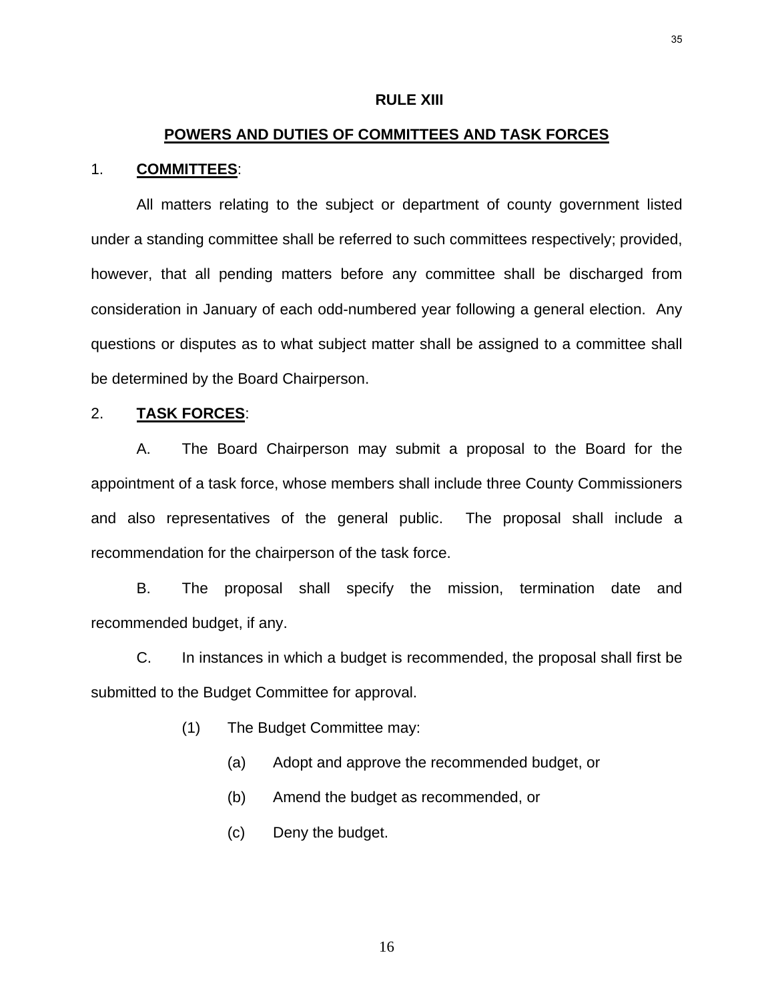#### **RULE XIII**

## **POWERS AND DUTIES OF COMMITTEES AND TASK FORCES**

## 1. **COMMITTEES**:

All matters relating to the subject or department of county government listed under a standing committee shall be referred to such committees respectively; provided, however, that all pending matters before any committee shall be discharged from consideration in January of each odd-numbered year following a general election. Any questions or disputes as to what subject matter shall be assigned to a committee shall be determined by the Board Chairperson.

## 2. **TASK FORCES**:

 A. The Board Chairperson may submit a proposal to the Board for the appointment of a task force, whose members shall include three County Commissioners and also representatives of the general public. The proposal shall include a recommendation for the chairperson of the task force.

 B. The proposal shall specify the mission, termination date and recommended budget, if any.

 C. In instances in which a budget is recommended, the proposal shall first be submitted to the Budget Committee for approval.

(1) The Budget Committee may:

- (a) Adopt and approve the recommended budget, or
- (b) Amend the budget as recommended, or
- (c) Deny the budget.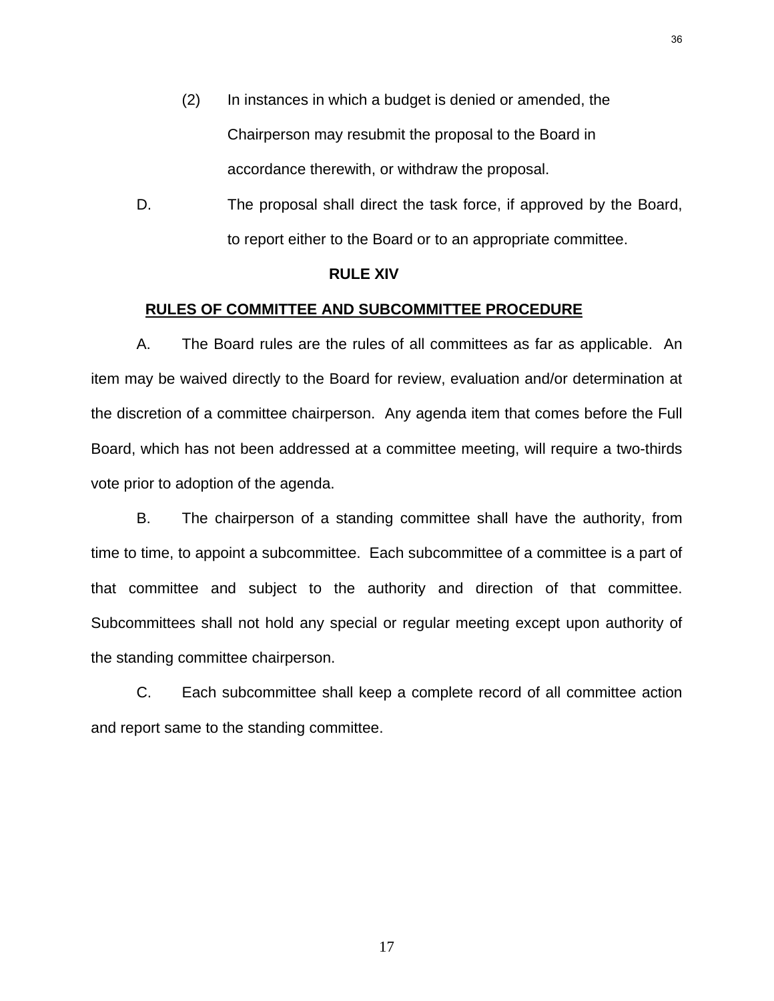- (2) In instances in which a budget is denied or amended, the Chairperson may resubmit the proposal to the Board in accordance therewith, or withdraw the proposal.
- D. The proposal shall direct the task force, if approved by the Board, to report either to the Board or to an appropriate committee.

## **RULE XIV**

## **RULES OF COMMITTEE AND SUBCOMMITTEE PROCEDURE**

 A. The Board rules are the rules of all committees as far as applicable. An item may be waived directly to the Board for review, evaluation and/or determination at the discretion of a committee chairperson. Any agenda item that comes before the Full Board, which has not been addressed at a committee meeting, will require a two-thirds vote prior to adoption of the agenda.

B. The chairperson of a standing committee shall have the authority, from time to time, to appoint a subcommittee. Each subcommittee of a committee is a part of that committee and subject to the authority and direction of that committee. Subcommittees shall not hold any special or regular meeting except upon authority of the standing committee chairperson.

C. Each subcommittee shall keep a complete record of all committee action and report same to the standing committee.